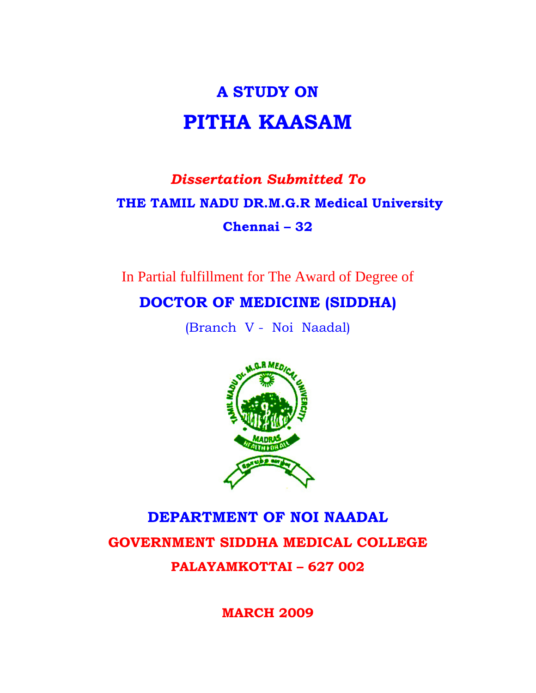# **A STUDY ON PITHA KAASAM**

# *Dissertation Submitted To*   **THE TAMIL NADU DR.M.G.R Medical University Chennai – 32**

In Partial fulfillment for The Award of Degree of

# **DOCTOR OF MEDICINE (SIDDHA)**

(Branch V - Noi Naadal)



# **DEPARTMENT OF NOI NAADAL GOVERNMENT SIDDHA MEDICAL COLLEGE PALAYAMKOTTAI – 627 002**

**MARCH 2009**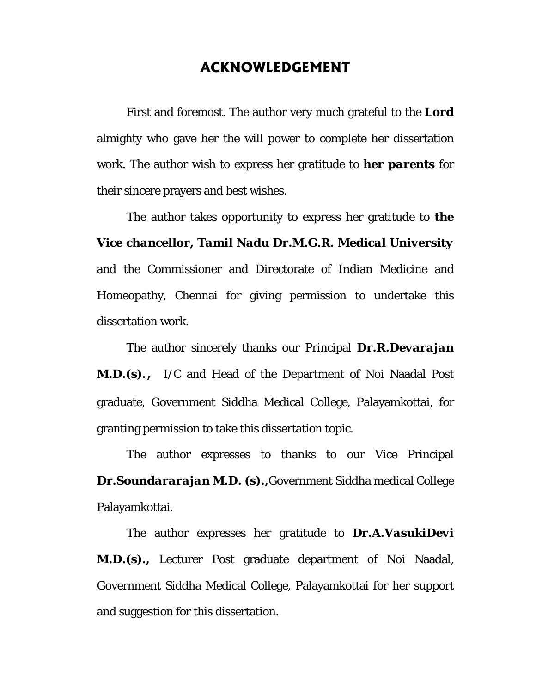# **ACKNOWLEDGEMENT**

 First and foremost. The author very much grateful to the *Lord* almighty who gave her the will power to complete her dissertation work. The author wish to express her gratitude to *her parents* for their sincere prayers and best wishes.

 The author takes opportunity to express her gratitude to *the Vice chancellor, Tamil Nadu Dr.M.G.R. Medical University* and the Commissioner and Directorate of Indian Medicine and Homeopathy, Chennai for giving permission to undertake this dissertation work.

 The author sincerely thanks our Principal *Dr.R.Devarajan M.D.(s).*, I/C and Head of the Department of Noi Naadal Post graduate, Government Siddha Medical College, Palayamkottai, for granting permission to take this dissertation topic.

The author expresses to thanks to our Vice Principal *Dr.Soundararajan M.D. (s).,*Government Siddha medical College Palayamkottai.

The author expresses her gratitude to *Dr.A.VasukiDevi M.D.(s).,* Lecturer Post graduate department of Noi Naadal, Government Siddha Medical College, Palayamkottai for her support and suggestion for this dissertation.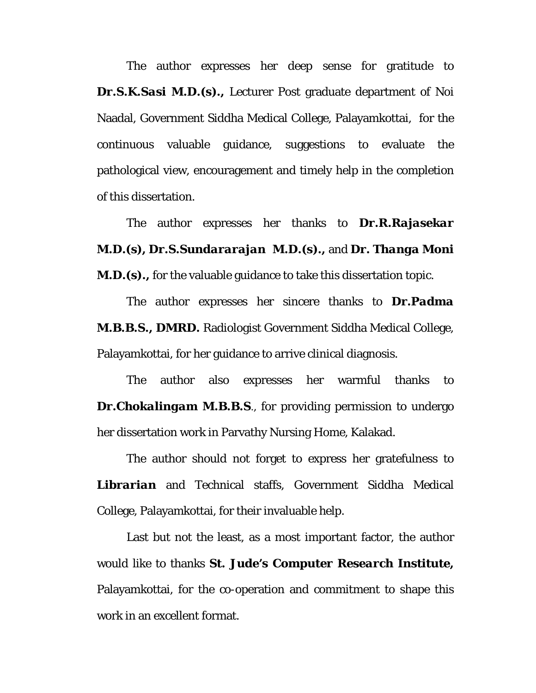The author expresses her deep sense for gratitude to *Dr.S.K.Sasi M.D.(s).,* Lecturer Post graduate department of Noi Naadal, Government Siddha Medical College, Palayamkottai, for the continuous valuable guidance, suggestions to evaluate the pathological view, encouragement and timely help in the completion of this dissertation.

The author expresses her thanks to *Dr.R.Rajasekar M.D.(s), Dr.S.Sundararajan M.D.(s).,* and *Dr. Thanga Moni M.D.(s).*, for the valuable guidance to take this dissertation topic.

The author expresses her sincere thanks to *Dr.Padma M.B.B.S., DMRD.* Radiologist Government Siddha Medical College, Palayamkottai, for her guidance to arrive clinical diagnosis.

The author also expresses her warmful thanks to *Dr.Chokalingam M.B.B.S.*, for providing permission to undergo her dissertation work in Parvathy Nursing Home, Kalakad.

The author should not forget to express her gratefulness to *Librarian* and Technical staffs, Government Siddha Medical College, Palayamkottai, for their invaluable help.

Last but not the least, as a most important factor, the author would like to thanks *St. Jude's Computer Research Institute,*  Palayamkottai, for the co-operation and commitment to shape this work in an excellent format.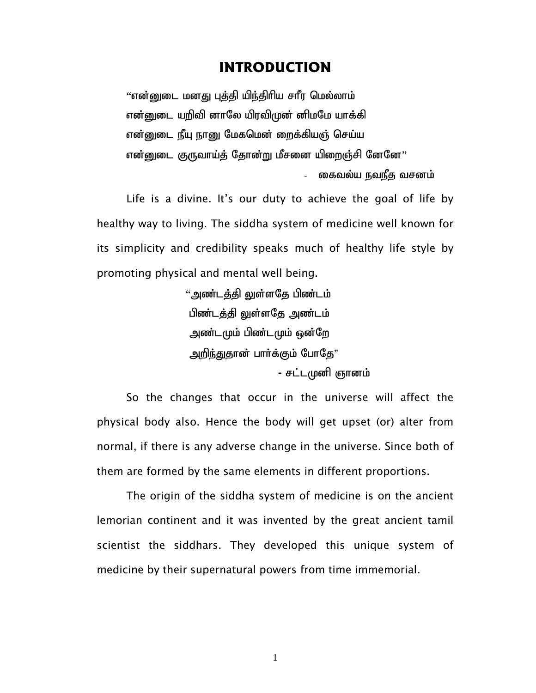# **INTRODUCTION**

''என்னுடை மனது புத்தி யிந்திரிய சாீர மெல்லாம் என்னுடை யறிவி னாலே யிரவிமுன் னிமமே யாக்கி என்னுடை நீயு நானு மேகமென் றைக்கியஞ் செய்ய என்னுடை குருவாய்த் தோன்று மீசனை யிறைஞ்சி னேனே $\cdot\cdot$ கைவல்ய நவநீத வசனம்

 Life is a divine. It's our duty to achieve the goal of life by healthy way to living. The siddha system of medicine well known for its simplicity and credibility speaks much of healthy life style by promoting physical and mental well being.

> "அண்டக்கி லுள்ளகே பிண்டம் பிண்டக்கி லுள்ளகே அண்டம் அண்டமும் பிண்டமும் ஒன்றே அறிந்துதான் பார்க்கும் போதே" - சட்டமுனி ஞானம்

So the changes that occur in the universe will affect the physical body also. Hence the body will get upset (or) alter from normal, if there is any adverse change in the universe. Since both of them are formed by the same elements in different proportions.

 The origin of the siddha system of medicine is on the ancient lemorian continent and it was invented by the great ancient tamil scientist the siddhars. They developed this unique system of medicine by their supernatural powers from time immemorial.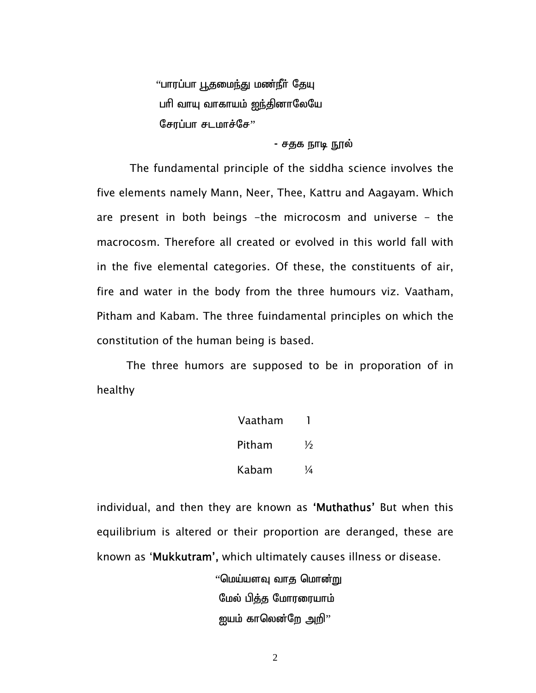"பாரப்பா பூதமைந்து மண்நீர் தேயு பரி வாயு வாகாயம் <u>ஐந்</u>தினாலேயே சோப்பா $H$ சடமாச்சே $"$ 

#### - சதக நாடி நூல்

 The fundamental principle of the siddha science involves the five elements namely Mann, Neer, Thee, Kattru and Aagayam. Which are present in both beings -the microcosm and universe - the macrocosm. Therefore all created or evolved in this world fall with in the five elemental categories. Of these, the constituents of air, fire and water in the body from the three humours viz. Vaatham, Pitham and Kabam. The three fuindamental principles on which the constitution of the human being is based.

 The three humors are supposed to be in proporation of in healthy

| Vaatham |   |
|---------|---|
| Pitham  | ⅓ |
| Kabam   | ¼ |

individual, and then they are known as 'Muthathus' But when this equilibrium is altered or their proportion are deranged, these are known as 'Mukkutram', which ultimately causes illness or disease.

> $"$ மெய்யளவு வாத மொன்று மேல் பித்த மோரரையாம் ஜயம் காலென்றே அறி $"$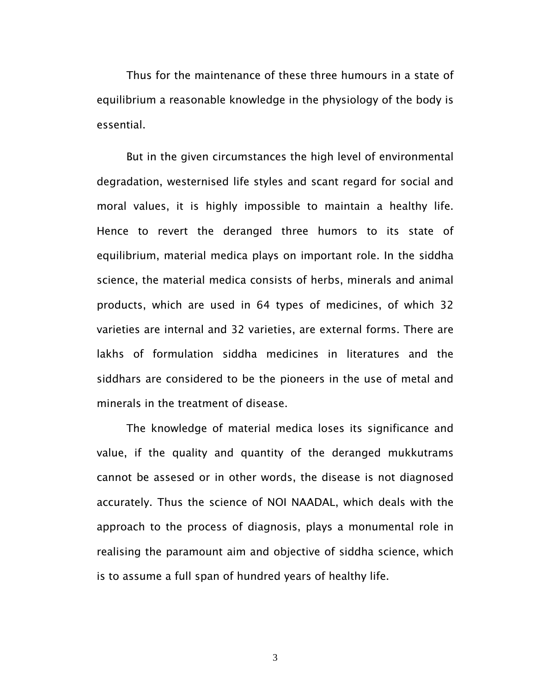Thus for the maintenance of these three humours in a state of equilibrium a reasonable knowledge in the physiology of the body is essential.

 But in the given circumstances the high level of environmental degradation, westernised life styles and scant regard for social and moral values, it is highly impossible to maintain a healthy life. Hence to revert the deranged three humors to its state of equilibrium, material medica plays on important role. In the siddha science, the material medica consists of herbs, minerals and animal products, which are used in 64 types of medicines, of which 32 varieties are internal and 32 varieties, are external forms. There are lakhs of formulation siddha medicines in literatures and the siddhars are considered to be the pioneers in the use of metal and minerals in the treatment of disease.

 The knowledge of material medica loses its significance and value, if the quality and quantity of the deranged mukkutrams cannot be assesed or in other words, the disease is not diagnosed accurately. Thus the science of NOI NAADAL, which deals with the approach to the process of diagnosis, plays a monumental role in realising the paramount aim and objective of siddha science, which is to assume a full span of hundred years of healthy life.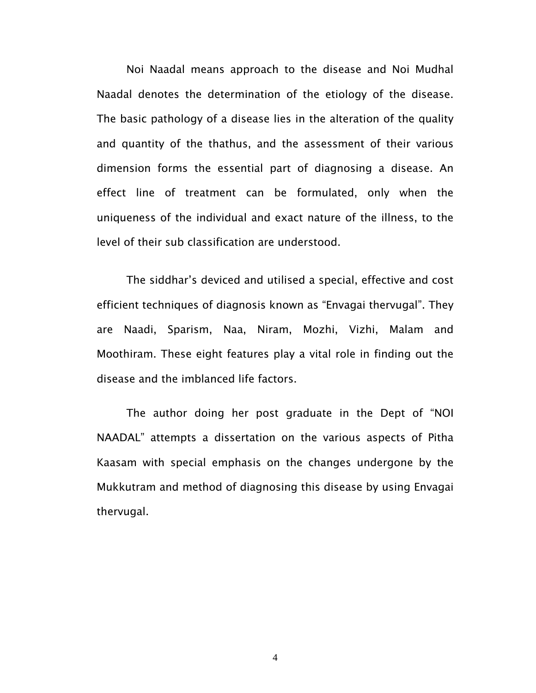Noi Naadal means approach to the disease and Noi Mudhal Naadal denotes the determination of the etiology of the disease. The basic pathology of a disease lies in the alteration of the quality and quantity of the thathus, and the assessment of their various dimension forms the essential part of diagnosing a disease. An effect line of treatment can be formulated, only when the uniqueness of the individual and exact nature of the illness, to the level of their sub classification are understood.

 The siddhar's deviced and utilised a special, effective and cost efficient techniques of diagnosis known as "Envagai thervugal". They are Naadi, Sparism, Naa, Niram, Mozhi, Vizhi, Malam and Moothiram. These eight features play a vital role in finding out the disease and the imblanced life factors.

 The author doing her post graduate in the Dept of "NOI NAADAL" attempts a dissertation on the various aspects of Pitha Kaasam with special emphasis on the changes undergone by the Mukkutram and method of diagnosing this disease by using Envagai thervugal.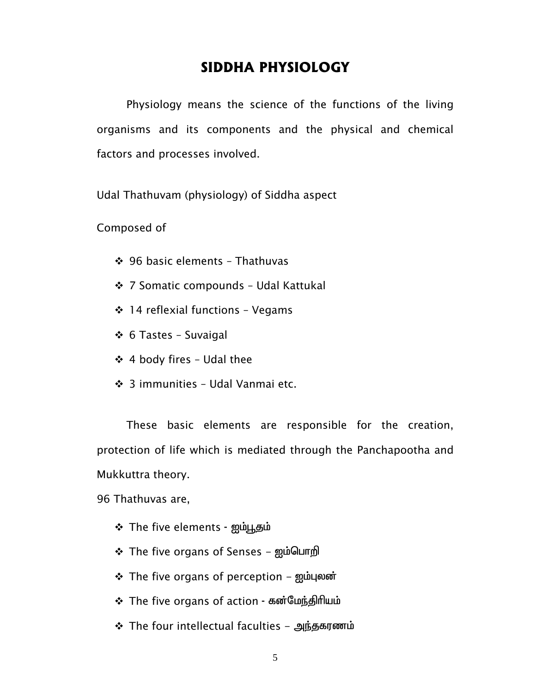# **SIDDHA PHYSIOLOGY**

 Physiology means the science of the functions of the living organisms and its components and the physical and chemical factors and processes involved.

Udal Thathuvam (physiology) of Siddha aspect

Composed of

- 96 basic elements Thathuvas
- 7 Somatic compounds Udal Kattukal
- $\div$  14 reflexial functions Vegams
- 6 Tastes Suvaigal
- $\div$  4 body fires Udal thee
- **❖** 3 immunities Udal Vanmai etc.

These basic elements are responsible for the creation, protection of life which is mediated through the Panchapootha and Mukkuttra theory.

96 Thathuvas are,

- The five elements ஐம்பூதம்
- $\div$  The five organs of Senses  $\sin\theta$
- † The five organs of perception ஐம்புலன்
- The five organs of action கன்மேந்திரியம்
- $\div$  The four intellectual faculties அந்தகரணம்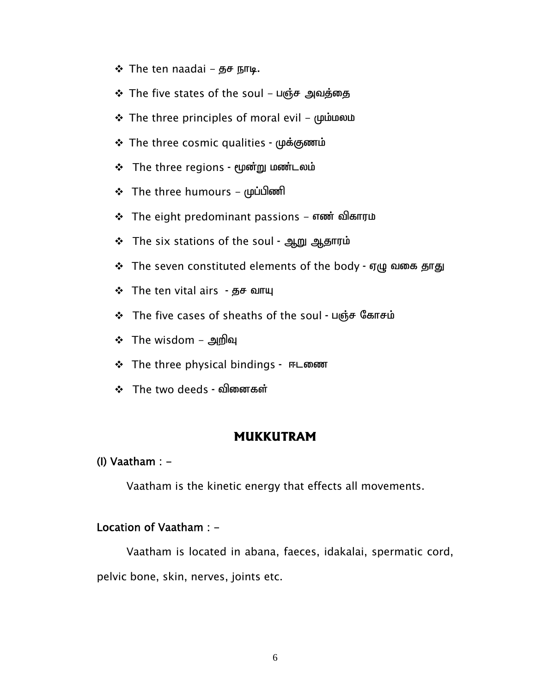- $\div$  The ten naadai  $\overline{B}F$   $\overline{B}$  mup.
- ❖ The five states of the soul பஞ்ச அவத்தை
- $\div$  The three principles of moral evil ( $\mu$  i moral)
- $\div$  The three cosmic qualities முக்குணம்
- The three regions மூன்று மண்டலம்
- $\div$  The three humours முப்பிணி
- The eight predominant passions  $\pi$  and all angularithment  $\cdot$
- The six stations of the soul ஆறு ஆதாரம்
- † The seven constituted elements of the body ஏழு வகை தாது
- $\div$  The ten vital airs தச வாயு
- † The five cases of sheaths of the soul பஞ்ச கோசம்
- $\div$  The wisdom அறிவு
- **↑** The three physical bindings ஈடணை
- $\div$  The two deeds வினைகள்

#### **MUKKUTRAM**

#### (I) Vaatham  $: -$

Vaatham is the kinetic energy that effects all movements.

#### Location of Vaatham : -

 Vaatham is located in abana, faeces, idakalai, spermatic cord, pelvic bone, skin, nerves, joints etc.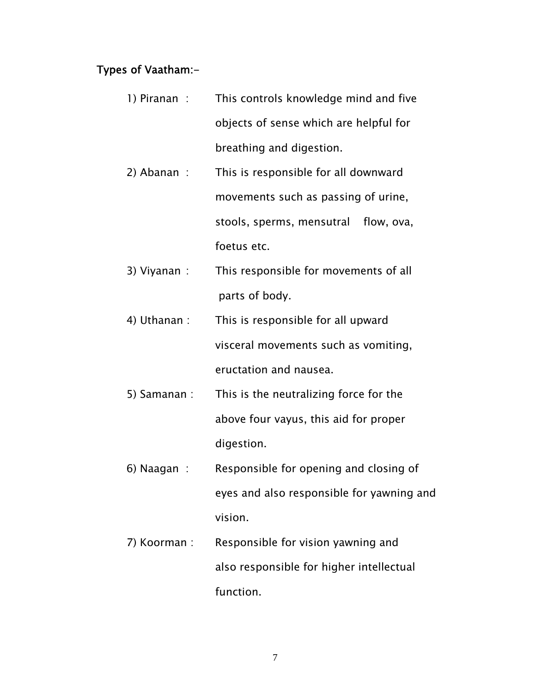## Types of Vaatham:-

- 1) Piranan : This controls knowledge mind and five objects of sense which are helpful for breathing and digestion.
- 2) Abanan : This is responsible for all downward movements such as passing of urine, stools, sperms, mensutral flow, ova, foetus etc.
- 3) Viyanan : This responsible for movements of all parts of body.
- 4) Uthanan : This is responsible for all upward visceral movements such as vomiting, eructation and nausea.
- 5) Samanan : This is the neutralizing force for the above four vayus, this aid for proper digestion.
- 6) Naagan : Responsible for opening and closing of eyes and also responsible for yawning and vision.
- 7) Koorman : Responsible for vision yawning and also responsible for higher intellectual function.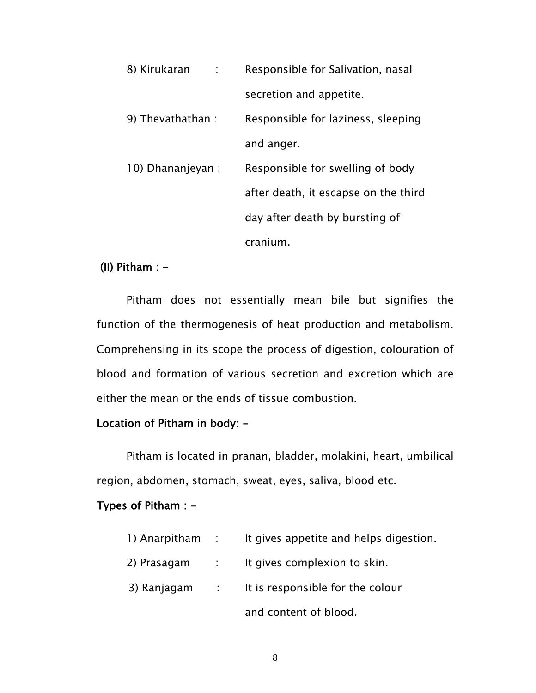| 8) Kirukaran<br>$\sim 1000$ | Responsible for Salivation, nasal    |
|-----------------------------|--------------------------------------|
|                             | secretion and appetite.              |
| 9) Thevathathan :           | Responsible for laziness, sleeping   |
|                             | and anger.                           |
| 10) Dhananjeyan :           | Responsible for swelling of body     |
|                             | after death, it escapse on the third |
|                             | day after death by bursting of       |
|                             | cranium.                             |

#### (II) Pitham :  $-$

 Pitham does not essentially mean bile but signifies the function of the thermogenesis of heat production and metabolism. Comprehensing in its scope the process of digestion, colouration of blood and formation of various secretion and excretion which are either the mean or the ends of tissue combustion.

#### Location of Pitham in body: -

 Pitham is located in pranan, bladder, molakini, heart, umbilical region, abdomen, stomach, sweat, eyes, saliva, blood etc.

#### Types of Pitham : -

| 1) Anarpitham | $\sim 10^{11}$ m $^{-1}$ | It gives appetite and helps digestion. |
|---------------|--------------------------|----------------------------------------|
| 2) Prasagam   | $\sim 1000$              | It gives complexion to skin.           |
| 3) Ranjagam   |                          | t is responsible for the colour        |
|               |                          | and content of blood.                  |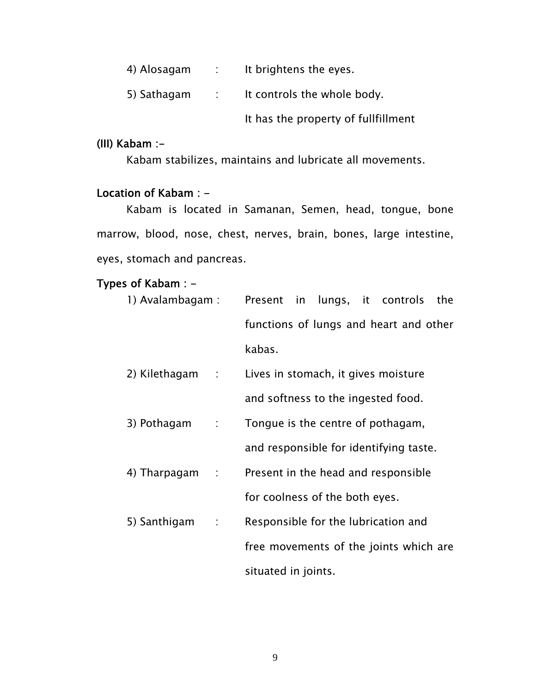| 4) Alosagam | <b>Contract</b>          | It brightens the eyes.              |
|-------------|--------------------------|-------------------------------------|
| 5) Sathagam | $\sim 10^{11}$ m $^{-1}$ | It controls the whole body.         |
|             |                          | It has the property of fullfillment |

#### (III) Kabam :-

Kabam stabilizes, maintains and lubricate all movements.

# Location of Kabam : -

 Kabam is located in Samanan, Semen, head, tongue, bone marrow, blood, nose, chest, nerves, brain, bones, large intestine, eyes, stomach and pancreas.

### Types of Kabam : -

| 1) Avalambagam : |                  |                                |  | Present in lungs, it controls          | the |
|------------------|------------------|--------------------------------|--|----------------------------------------|-----|
|                  |                  |                                |  | functions of lungs and heart and other |     |
|                  |                  | kabas.                         |  |                                        |     |
| 2) Kilethagam    | $\sim 10^{-11}$  |                                |  | Lives in stomach, it gives moisture    |     |
|                  |                  |                                |  | and softness to the ingested food.     |     |
| 3) Pothagam      | $\Delta \sim 10$ |                                |  | Tongue is the centre of pothagam,      |     |
|                  |                  |                                |  | and responsible for identifying taste. |     |
| 4) Tharpagam     | $\sim 100$       |                                |  | Present in the head and responsible    |     |
|                  |                  | for coolness of the both eyes. |  |                                        |     |
| 5) Santhigam     | $\sim 10^{-1}$   |                                |  | Responsible for the lubrication and    |     |
|                  |                  |                                |  | free movements of the joints which are |     |
|                  |                  | situated in joints.            |  |                                        |     |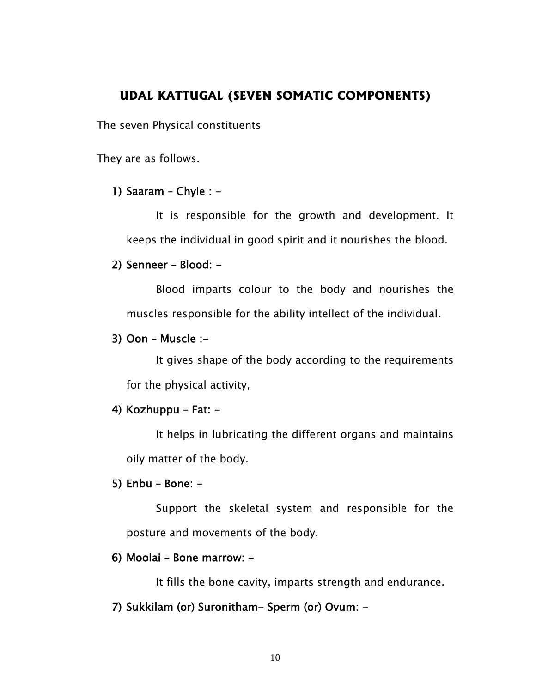# **UDAL KATTUGAL (SEVEN SOMATIC COMPONENTS)**

The seven Physical constituents

They are as follows.

#### 1) Saaram – Chyle :  $-$

It is responsible for the growth and development. It keeps the individual in good spirit and it nourishes the blood.

#### 2) Senneer – Blood: -

Blood imparts colour to the body and nourishes the muscles responsible for the ability intellect of the individual.

#### $3)$  Oon – Muscle :-

It gives shape of the body according to the requirements for the physical activity,

#### 4) Kozhuppu – Fat: -

It helps in lubricating the different organs and maintains oily matter of the body.

#### 5) Enbu – Bone: -

Support the skeletal system and responsible for the posture and movements of the body.

#### 6) Moolai – Bone marrow: -

It fills the bone cavity, imparts strength and endurance.

#### 7) Sukkilam (or) Suronitham- Sperm (or) Ovum: -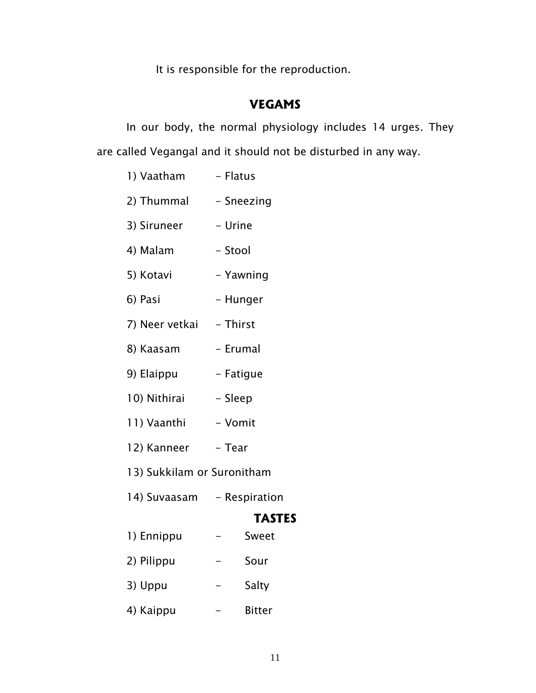It is responsible for the reproduction.

# **VEGAMS**

In our body, the normal physiology includes 14 urges. They are called Vegangal and it should not be disturbed in any way.

| 1) Vaatham                 | - Flatus  |               |
|----------------------------|-----------|---------------|
| 2) Thummal                 |           | - Sneezing    |
| 3) Siruneer                | - Urine   |               |
| 4) Malam                   | - Stool   |               |
| 5) Kotavi                  |           | - Yawning     |
| 6) Pasi                    | - Hunger  |               |
| 7) Neer vetkai - Thirst    |           |               |
| 8) Kaasam                  | - Erumal  |               |
| 9) Elaippu                 | - Fatigue |               |
| 10) Nithirai               | - Sleep   |               |
| 11) Vaanthi                | - Vomit   |               |
| 12) Kanneer                | - Tear    |               |
| 13) Sukkilam or Suronitham |           |               |
| 14) Suvaasam - Respiration |           |               |
|                            |           | <b>TASTES</b> |
| 1) Ennippu                 |           | Sweet         |
| 2) Pilippu                 |           | Sour          |
| 3) Uppu                    |           | Salty         |
| 4) Kaippu                  |           | <b>Bitter</b> |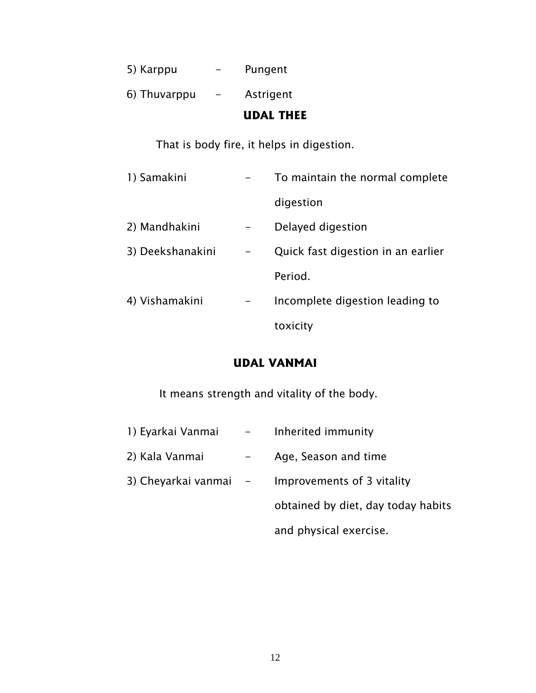|              | <b>UDAL THEE</b> |
|--------------|------------------|
| 6) Thuvarppu | Astrigent        |
| 5) Karppu    | Pungent          |

That is body fire, it helps in digestion.

| 1) Samakini      | To maintain the normal complete    |
|------------------|------------------------------------|
|                  | digestion                          |
| 2) Mandhakini    | Delayed digestion                  |
| 3) Deekshanakini | Quick fast digestion in an earlier |
|                  | Period.                            |
| 4) Vishamakini   | Incomplete digestion leading to    |
|                  | toxicity                           |

# **UDAL VANMAI**

It means strength and vitality of the body.

1) Eyarkai Vanmai - Inherited immunity 2) Kala Vanmai - Age, Season and time 3) Cheyarkai vanmai - Improvements of 3 vitality obtained by diet, day today habits and physical exercise.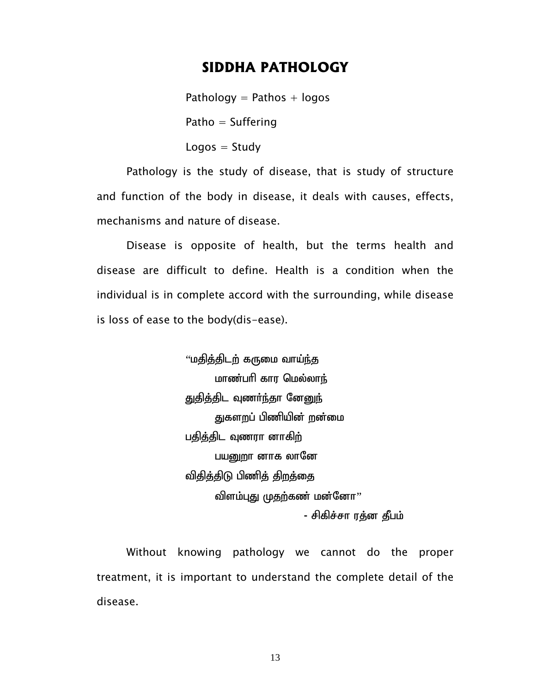## **SIDDHA PATHOLOGY**

Pathology  $=$  Pathos  $+$  logos Patho  $=$  Suffering  $Logos = Study$ 

 Pathology is the study of disease, that is study of structure and function of the body in disease, it deals with causes, effects, mechanisms and nature of disease.

 Disease is opposite of health, but the terms health and disease are difficult to define. Health is a condition when the individual is in complete accord with the surrounding, while disease is loss of ease to the body(dis-ease).

> ''மதித்திடற் கருமை வாய<u>்ந்</u>த மாண்பரி கார மெல்லாந் <u>துதித்தி</u>ட வுணர்ந்தா னே<u>னுந்</u> துகளறப் பிணியின் றன்மை பதித்திட வுணரா னாகி<u>ற</u>் பயனுறா னாக லானே விதித்திடு பிணித் திறத்தை விளம்புது முதற்கண் மன்னோ $"$ - சிகிச்சா ரத்ன தீபம்

 Without knowing pathology we cannot do the proper treatment, it is important to understand the complete detail of the disease.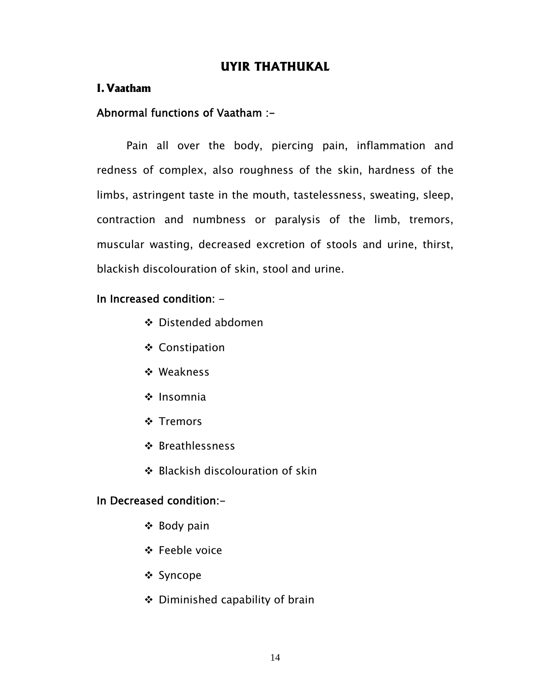# **UYIR THATHUKAL**

#### **I. Vaatham**

#### Abnormal functions of Vaatham :-

 Pain all over the body, piercing pain, inflammation and redness of complex, also roughness of the skin, hardness of the limbs, astringent taste in the mouth, tastelessness, sweating, sleep, contraction and numbness or paralysis of the limb, tremors, muscular wasting, decreased excretion of stools and urine, thirst, blackish discolouration of skin, stool and urine.

#### In Increased condition: -

- ❖ Distended abdomen
- ❖ Constipation
- Weakness
- $\cdot$  Insomnia
- **❖ Tremors**
- ❖ Breathlessness
- ❖ Blackish discolouration of skin

#### In Decreased condition:-

- ❖ Body pain
- Feeble voice
- Syncope
- Diminished capability of brain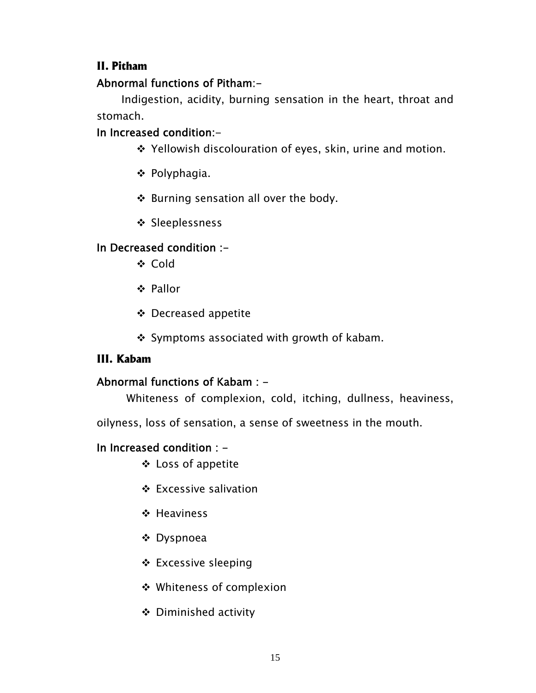# **II. Pitham**

# Abnormal functions of Pitham:-

 Indigestion, acidity, burning sensation in the heart, throat and stomach.

# In Increased condition:-

- ❖ Yellowish discolouration of eyes, skin, urine and motion.
- ❖ Polyphagia.
- ❖ Burning sensation all over the body.
- ❖ Sleeplessness

# In Decreased condition :-

- **❖ Cold**
- Pallor
- Decreased appetite
- $\div$  Symptoms associated with growth of kabam.

# **III. Kabam**

# Abnormal functions of Kabam : -

Whiteness of complexion, cold, itching, dullness, heaviness,

oilyness, loss of sensation, a sense of sweetness in the mouth.

# In Increased condition : -

- Loss of appetite
- Excessive salivation
- ❖ Heaviness
- Dyspnoea
- Excessive sleeping
- Whiteness of complexion
- Diminished activity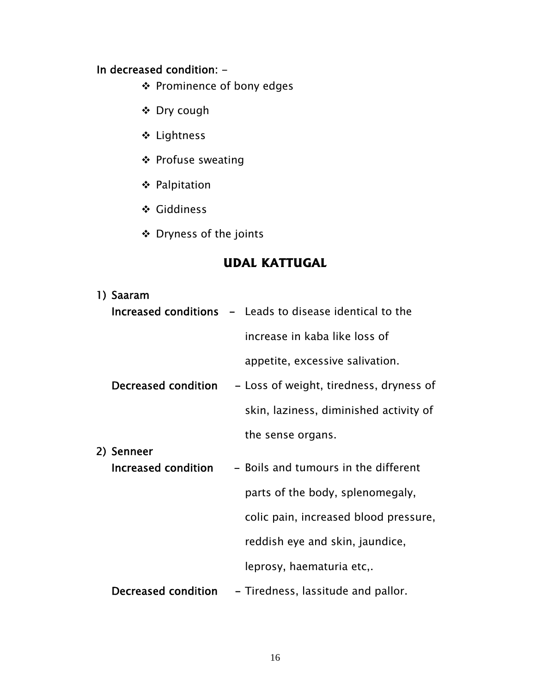# In decreased condition: -

- Prominence of bony edges
- Dry cough
- Lightness
- ❖ Profuse sweating
- Palpitation
- Giddiness
- Dryness of the joints

# **UDAL KATTUGAL**

| 1) Saaram           |                                                                 |
|---------------------|-----------------------------------------------------------------|
|                     | <b>Increased conditions</b> - Leads to disease identical to the |
|                     | increase in kaba like loss of                                   |
|                     | appetite, excessive salivation.                                 |
| Decreased condition | - Loss of weight, tiredness, dryness of                         |
|                     | skin, laziness, diminished activity of                          |
|                     | the sense organs.                                               |
| 2) Senneer          |                                                                 |
| Increased condition | - Boils and tumours in the different                            |
|                     | parts of the body, splenomegaly,                                |
|                     | colic pain, increased blood pressure,                           |
|                     | reddish eye and skin, jaundice,                                 |
|                     | leprosy, haematuria etc,.                                       |
| Decreased condition | - Tiredness, lassitude and pallor.                              |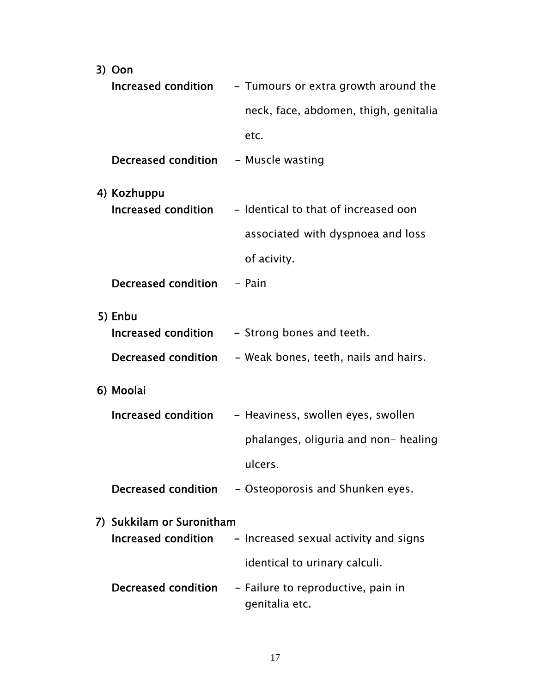| 3) Oon                     |                                                      |
|----------------------------|------------------------------------------------------|
| Increased condition        | - Tumours or extra growth around the                 |
|                            | neck, face, abdomen, thigh, genitalia                |
|                            | etc.                                                 |
| <b>Decreased condition</b> | - Muscle wasting                                     |
| 4) Kozhuppu                |                                                      |
| Increased condition        | - Identical to that of increased oon                 |
|                            | associated with dyspnoea and loss                    |
|                            | of acivity.                                          |
| Decreased condition        | - Pain                                               |
| 5) Enbu                    |                                                      |
| Increased condition        | - Strong bones and teeth.                            |
| Decreased condition        | – Weak bones, teeth, nails and hairs.                |
| 6) Moolai                  |                                                      |
| Increased condition        | - Heaviness, swollen eyes, swollen                   |
|                            | phalanges, oliguria and non- healing                 |
|                            | ulcers.                                              |
| Decreased condition        | - Osteoporosis and Shunken eyes.                     |
| 7) Sukkilam or Suronitham  |                                                      |
| Increased condition        | - Increased sexual activity and signs                |
|                            | identical to urinary calculi.                        |
| Decreased condition        | - Failure to reproductive, pain in<br>genitalia etc. |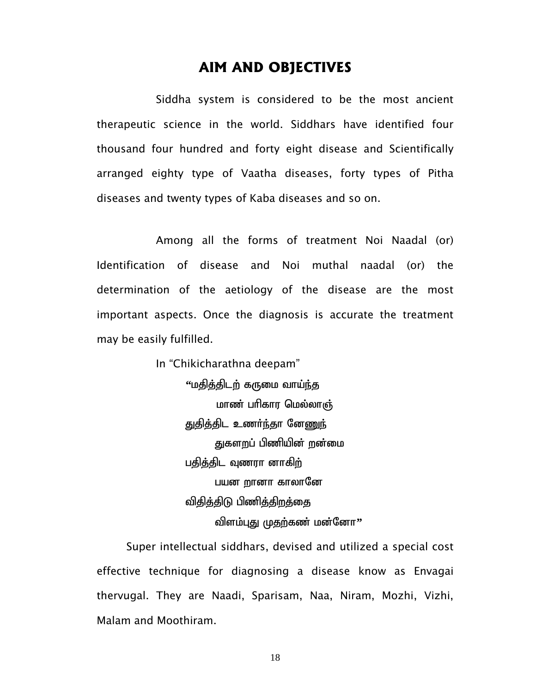# **AIM AND OBJECTIVES**

Siddha system is considered to be the most ancient therapeutic science in the world. Siddhars have identified four thousand four hundred and forty eight disease and Scientifically arranged eighty type of Vaatha diseases, forty types of Pitha diseases and twenty types of Kaba diseases and so on.

 Among all the forms of treatment Noi Naadal (or) Identification of disease and Noi muthal naadal (or) the determination of the aetiology of the disease are the most important aspects. Once the diagnosis is accurate the treatment may be easily fulfilled.

> In "Chikicharathna deepam" ''மதித்திடற் கருமை வாய்ந்த மாண் பரிகார மெல்லாஞ் துதித்திட உணர்ந்தா ன<u>ேணுந்</u> துகளறப் பிணியின் றன்மை பதித்திட வணரா னாக<u>ிற்</u> பயன **றானா காலானே** <u>விதித்திடு</u> பிணித்திறத்தை விளம்புது முதற்கண் மன்னோ''

Super intellectual siddhars, devised and utilized a special cost effective technique for diagnosing a disease know as Envagai thervugal. They are Naadi, Sparisam, Naa, Niram, Mozhi, Vizhi, Malam and Moothiram.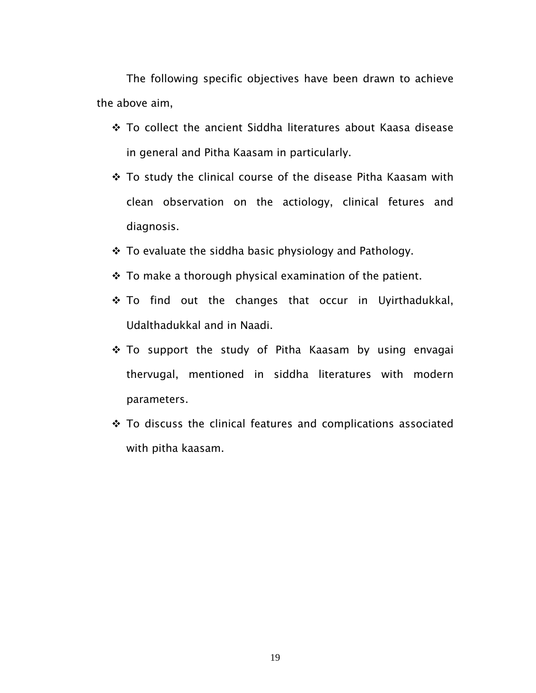The following specific objectives have been drawn to achieve the above aim,

- ❖ To collect the ancient Siddha literatures about Kaasa disease in general and Pitha Kaasam in particularly.
- To study the clinical course of the disease Pitha Kaasam with clean observation on the actiology, clinical fetures and diagnosis.
- \* To evaluate the siddha basic physiology and Pathology.
- $\cdot$  To make a thorough physical examination of the patient.
- \* To find out the changes that occur in Uyirthadukkal, Udalthadukkal and in Naadi.
- \* To support the study of Pitha Kaasam by using envagai thervugal, mentioned in siddha literatures with modern parameters.
- \* To discuss the clinical features and complications associated with pitha kaasam.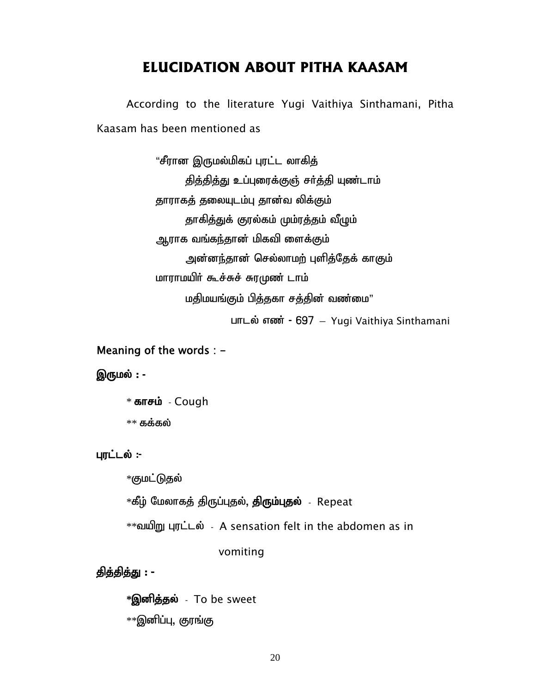# **ELUCIDATION ABOUT PITHA KAASAM**

According to the literature Yugi Vaithiya Sinthamani, Pitha Kaasam has been mentioned as

> "சீரான இருமல்மிகப் புரட்ட லாகித் தித்தித்து உப்புரைக்குஞ் சர்த்தி யுண்டாம் தாராகத் தலையுடம்பு தான்வ லிக்கும் தாகித்துக் குரல்கம் மும்ரத்தம் வீழும் ஆராக வங்கந்தான் மிகவி ளைக்கும் அன்னந்தான் செல்லாமற் புளித்தேக் காகும் மாராமயிர் கூச்சுச் சுரமுண் டாம் மதிமயங்கும் பித்தகா சத்தின் வண்மை"

 $L$ m $L$ ல் எண் - 697 – Yugi Vaithiya Sinthamani

#### Meaning of the words : -

#### இருமல் : -

 $*$  காசம் - Cough  $*$ \* கக்கல்

#### புரட்டல் :-

\*குமட்டுதல்

\*கீழ் மேலாகத் திருப்புதல், **திரும்புதல்** - Repeat

\*\*tapW Gul;ly; - A sensation felt in the abdomen as in

#### vomiting

#### தித்தித்து : -

 $\bf{*Q}$ னித்தல் - To be sweet

 $*$  $*$ இனிப்பு, குரங்கு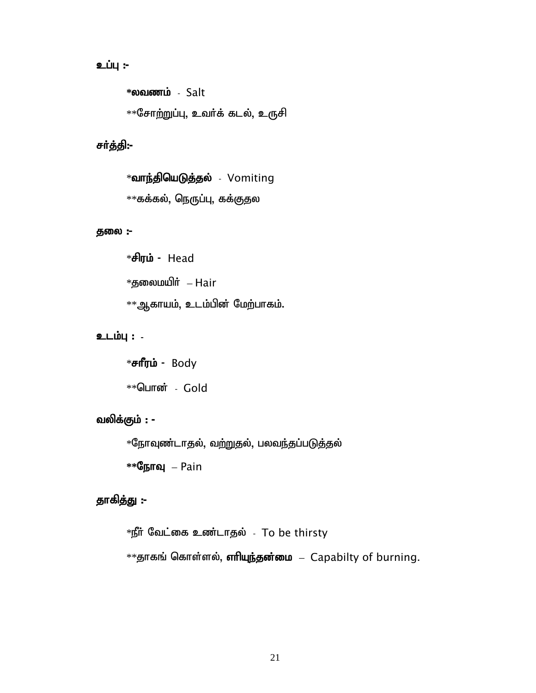# உப்பு :-

 $*$ லவணம் - Salt  $*$  $*$ சோற்றுப்பு, உவர்க் கடல், உருசி

#### சர்த்தி:-

 $*$ வாந்தியெடுத்தல் - Vomiting  $*$ கக்கல், நெருப்பு, கக்குதல

#### தலை:-

 $*$ சிரம் - Head  $*$ தலைமயிர் – Hair  $*$ ஆகாயம், உடம்பின் மேற்பாகம்.

#### உடம்பு : -

 $*$ சாீரம் - Body  $*$ \*பொன் - Gold

#### வலிக்கும்  $:$  -  $\overline{\phantom{a}}$

 $*$ நோவுண்டாதல், வற்றுதல், பலவந்தப்படுத்தல்

 $*$ <sup>®</sup>நாவு – Pain

#### தாகித்து :-

 $*$ நீர் வேட்கை உண்டாதல் - To be thirsty  $**$ தாகங் கொள்ளல், எரியுந்தன்மை – Capabilty of burning.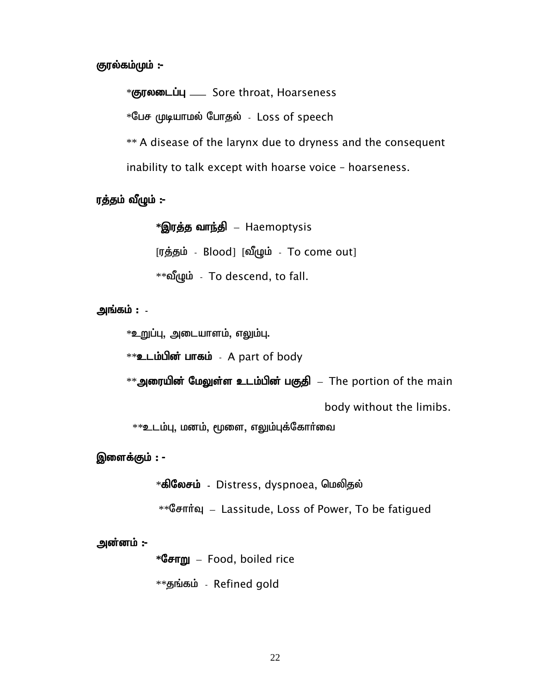#### குரல்கம்மும் :-

\*குரலடைப்பு – Sore throat, Hoarseness

 $*$ பேச முடியாமல் போதல் - Loss of speech

\*\* A disease of the larynx due to dryness and the consequent inability to talk except with hoarse voice – hoarseness.

# ரத்தம் வீழும் :-

 $*$ **இரத்த வாந்தி** – Haemoptysis  $[T_1, \frac{1}{2}]$ ந்தம் - Blood]  $[\omega]$ ழும் - To come out] \*\*வீழும் - To descend, to fall.

# அங்கம் : -

 $*$ உறுப்பு, அடையாளம், எலும்பு.

 $**$ உடம்பின் பாகம் - A part of body

 $^{**}$ அரையின் மேலுள்ள உடம்பின் பகுதி  $\,$  – The portion of the main

body without the limibs.

 $**$ உடம்பு, மனம், மூளை, எலும்புக்கோர்வை

#### இளைக்கும்  $:$  -  $\overline{\phantom{a}}$

 $\ast$ கிலேசம் - Distress, dyspnoea, மெலிதல்

\*\* Gентта – Lassitude, Loss of Power, To be fatigued

#### அன்னம் :-

**\***NrhW – Food, boiled rice

 $*$ தங்கம் - Refined gold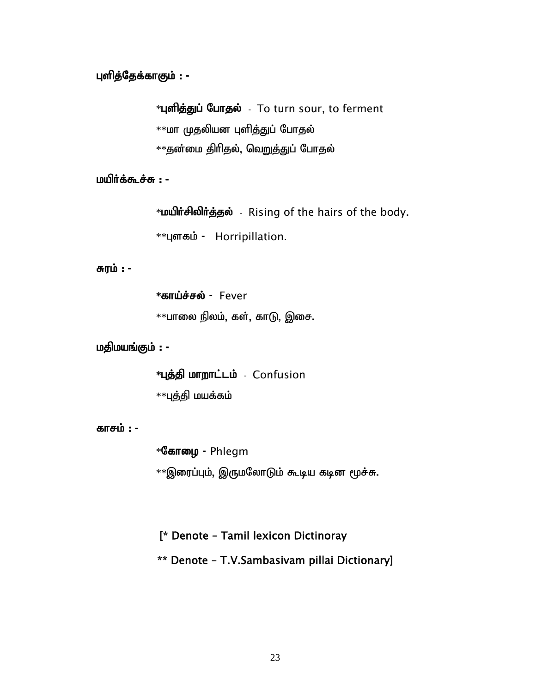# புளித்தேக்காகும் : -

 $*$ புளித்துப் போதல் - To turn sour, to ferment  $*$ மா முதலியன புளித்துப் போதல்

 $*$ தன்மை திரிதல், வெறுத்துப் போதல்

#### மயிர்க்கூச்சு : -

\***மயிர்சிலிர்த்தல்** - Rising of the hairs of the body.

\*\*цызы - Horripillation.

சுரம் : -

 $*$ **காய்ச்சல் - Fever** 

 $*$ பாலை நிலம், கள், காடு, இசை.

மதிமயங்கும் : -

 $*$ புத்தி மாறாட்டம் - Confusion

 $*$ புத்தி மயக்கம்

#### காசம் : **-**

 $*$ கோழை - Phlegm  $*$  இரைப்பும், இருமலோடும் கூடிய கடின மூச்சு.

# [\* Denote – Tamil lexicon Dictinoray

\*\* Denote – T.V.Sambasivam pillai Dictionary]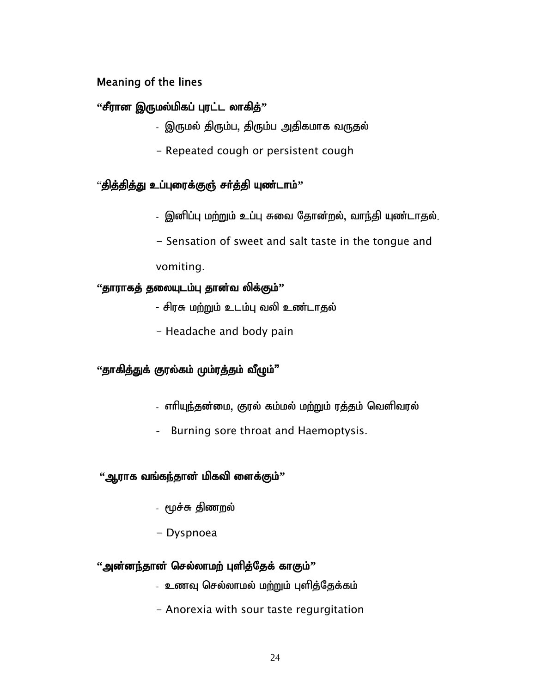# Meaning of the lines

# **"சீரான இருமல்மிகப் புரட்ட லாகித்**"

- இருமல் திரும்ப, திரும்ப அதிகமாக வருதல்
- Repeated cough or persistent cough

# "தித்தித்து உப்புரைக்குஞ் சா்த்தி யுண்டாம்**'**'

- இனிப்பு மற்றும் உப்பு சுவை தோன்றல், வாந்தி யுண்டாதல்.
- Sensation of sweet and salt taste in the tongue and

vomiting.

# "தாராகத் தலையுடம்பு தான்வ லிக்கும்"

- சிரசு மற்றும் உடம்பு வலி உண்டாதல்
- Headache and body pain

# "தாகித்துக் குரல்கம் மும்ரத்தம் வீழும்"

- எாியுந்தன்மை, குரல் கம்மல் மற்றும் ரத்தம் வெளிவரல்
- Burning sore throat and Haemoptysis.

# "ஆராக வங்க<u>ந்</u>தான் மிகவி ளைக்கும்''

- மூச்சு திணறல்
- Dyspnoea

# "அன்னந்தான் செல்லாமற் புளித்தேக் காகும்"

- உணவு செல்லாமல் மற்றும் புளித்தேக்கம்
- Anorexia with sour taste regurgitation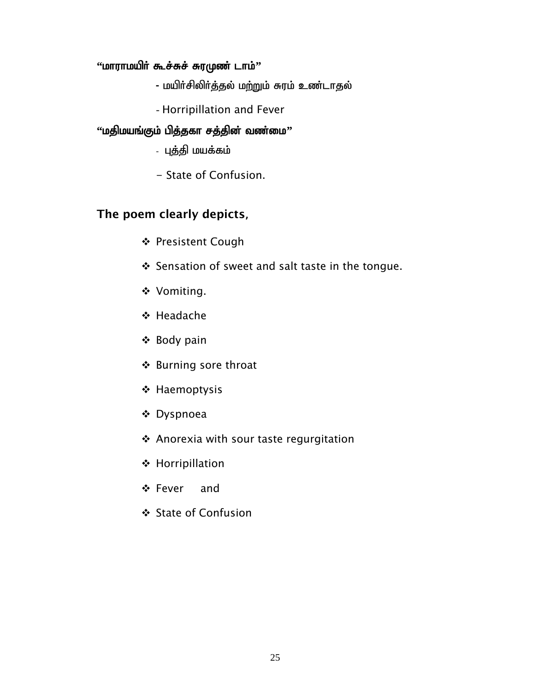### "**<u>மாராமயிர் கூச்சுச் சுரமுண் டாம்''</u>**

- மயிர்சிலிர்த்தல் மற்றும் சுரம் உண்டாதல்
- Horripillation and Fever

### "**மதிமயங்கும் பித்தகா சத்தின் வண்மை**"

- புத்தி மயக்கம்
- State of Confusion.

# The poem clearly depicts,

- ❖ Presistent Cough
- Sensation of sweet and salt taste in the tongue.
- ◆ Vomiting.
- **❖ Headache**
- ❖ Body pain
- ❖ Burning sore throat
- ❖ Haemoptysis
- Dyspnoea
- Anorexia with sour taste regurgitation
- ❖ Horripillation
- Fever and
- State of Confusion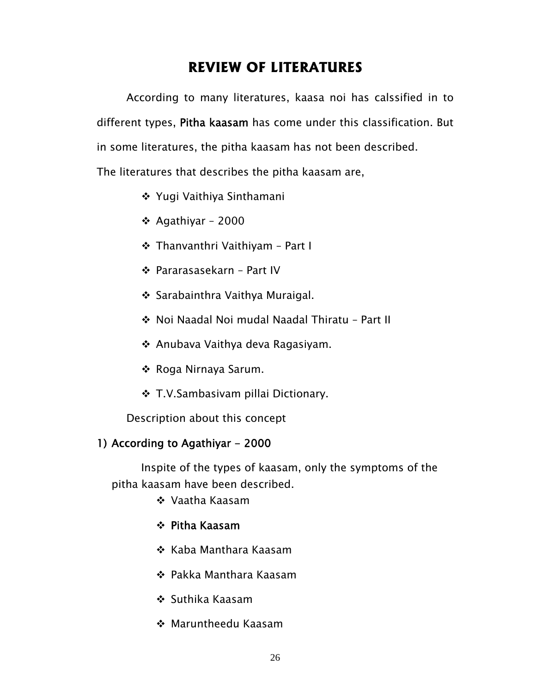# **REVIEW OF LITERATURES**

According to many literatures, kaasa noi has calssified in to different types, Pitha kaasam has come under this classification. But in some literatures, the pitha kaasam has not been described.

The literatures that describes the pitha kaasam are,

- ❖ Yugi Vaithiya Sinthamani
- ❖ Agathiyar 2000
- Thanvanthri Vaithiyam Part I
- Pararasasekarn Part IV
- Sarabainthra Vaithya Muraigal.
- Noi Naadal Noi mudal Naadal Thiratu Part II
- Anubava Vaithya deva Ragasiyam.
- ❖ Roga Nirnaya Sarum.
- ❖ T.V.Sambasivam pillai Dictionary.

Description about this concept

#### 1) According to Agathiyar - 2000

Inspite of the types of kaasam, only the symptoms of the pitha kaasam have been described.

- Vaatha Kaasam
- Pitha Kaasam
- ❖ Kaba Manthara Kaasam
- Pakka Manthara Kaasam
- ❖ Suthika Kaasam
- Maruntheedu Kaasam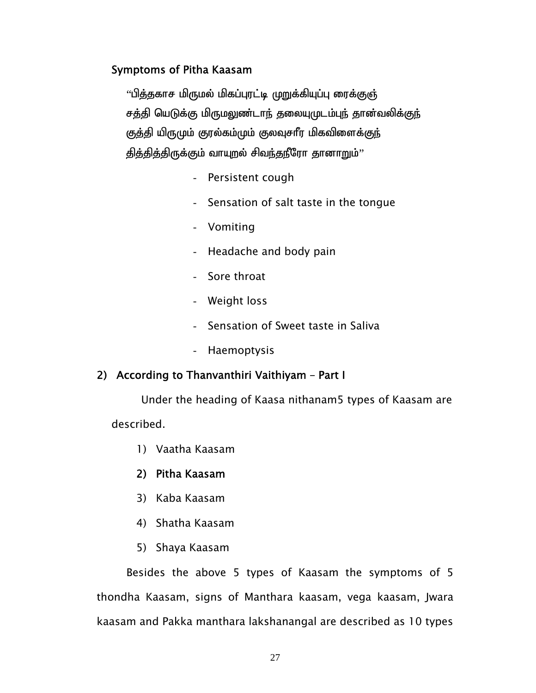$\lq$ ித்தகாச மிருமல் மிகப்புரட்டி முறுக்கியுப்பு ரைக்குஞ் சத்தி யெடுக்கு மிருமலுண்டாந் தலையுமுடம்புந் தான்வலிக்குந் குத்தி யிருமும் குரல்கம்மும் குலவுசார மிகவிளைக்குந் தித்தித்திருக்கும் வாயுறல் சிவந்தநீரோ தானாறும்''

- Persistent cough
- Sensation of salt taste in the tongue
- Vomiting
- Headache and body pain
- Sore throat
- Weight loss
- Sensation of Sweet taste in Saliva
- Haemoptysis

#### 2) According to Thanvanthiri Vaithiyam – Part I

Under the heading of Kaasa nithanam5 types of Kaasam are described.

1) Vaatha Kaasam

#### 2) Pitha Kaasam

- 3) Kaba Kaasam
- 4) Shatha Kaasam
- 5) Shaya Kaasam

Besides the above 5 types of Kaasam the symptoms of 5 thondha Kaasam, signs of Manthara kaasam, vega kaasam, Jwara kaasam and Pakka manthara lakshanangal are described as 10 types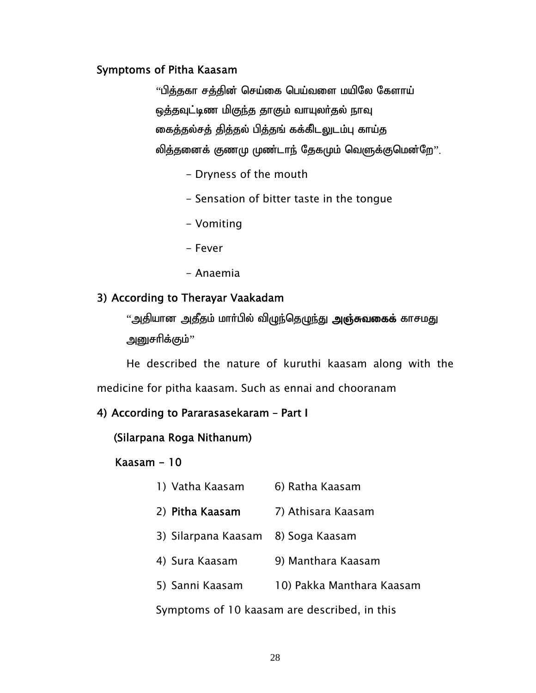$\,$ ''பித்தகா சத்தின் செய்கை பெய்வளை மயிலே கேளாய் ஒத்தவுட்டிண மிகுந்த தாகும் வாயுலர்தல் நாவு கைத்தல்சத் தித்தல் பித்தங் கக்கிடலுடம்பு காய்த லித்தனைக் குணமு முண்டாந் தேகமும் வெளுக்குமென்றே''.

- Dryness of the mouth
- Sensation of bitter taste in the tongue
- Vomiting
- Fever
- Anaemia

## 3) According to Therayar Vaakadam

"அதியான அதீதம் மார்பில் விழுந்தெழுந்து **அஞ்சுவகைக்** காசமது அனுசரிக்கும்''

 He described the nature of kuruthi kaasam along with the medicine for pitha kaasam. Such as ennai and chooranam

#### 4) According to Pararasasekaram – Part I

```
 (Silarpana Roga Nithanum)
```
#### Kaasam - 10

- 1) Vatha Kaasam 6) Ratha Kaasam
- 2) **Pitha Kaasam** 7) Athisara Kaasam
- 3) Silarpana Kaasam 8) Soga Kaasam
- 4) Sura Kaasam 9) Manthara Kaasam
- 5) Sanni Kaasam 10) Pakka Manthara Kaasam

Symptoms of 10 kaasam are described, in this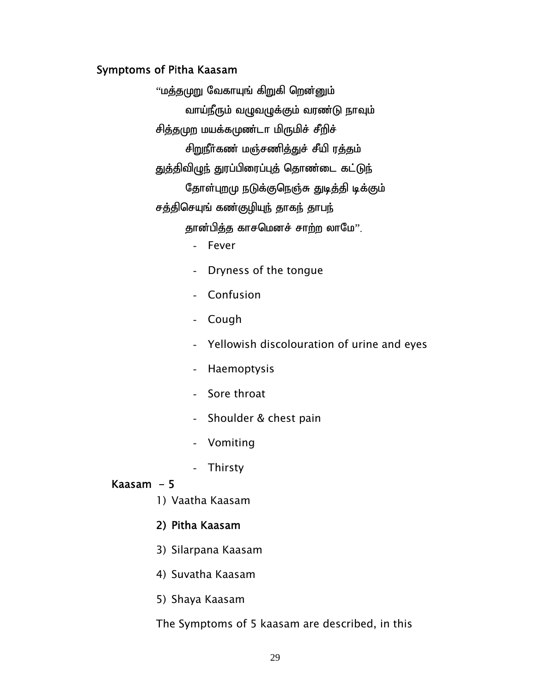"மத்தமுறு வேகாயுங் கிறுகி றென்னும் வாய்நீரும் வழுவழுக்கும் வரண்டு நாவும் சித்தமுற மயக்கமுண்டா மிருமிச் சீறிச் சிறுநீா்கண் மஞ்சணித்துச் சீயி ரத்தம் துத்திவிழுந் துரப்பிரைப்புத் தொண்டை கட்டுந் தோள்புறமு நடுக்குநெஞ்சு துடித்தி டிக்கும் சத்திசெயுங் கண்குழியுந் தாகந் தாபந் தான்பித்த காசமெனச் சாற்ற லாமே".

- Fever
- Dryness of the tongue
- Confusion
- Cough
- Yellowish discolouration of urine and eyes
- Haemoptysis
- Sore throat
- Shoulder & chest pain
- Vomiting
- Thirsty

#### Kaasam  $-5$

1) Vaatha Kaasam

#### 2) Pitha Kaasam

- 3) Silarpana Kaasam
- 4) Suvatha Kaasam
- 5) Shaya Kaasam

The Symptoms of 5 kaasam are described, in this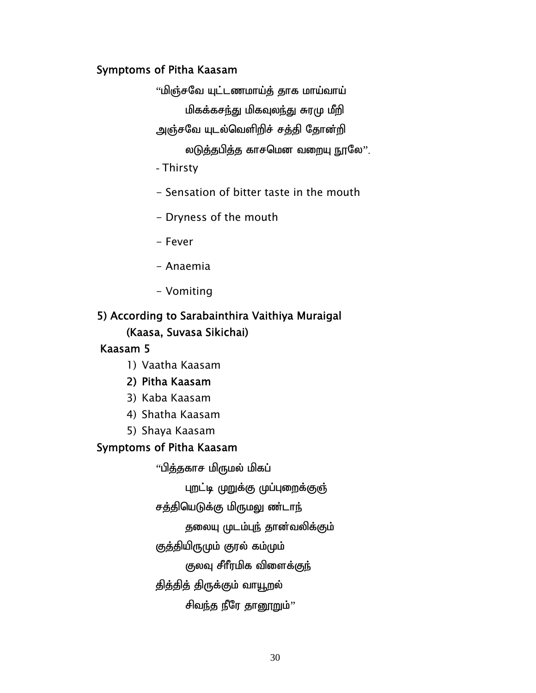$\lq\lq$ மிஞ்சவே யுட்டணமாய்த் தாக மாய்வாய்

மிகக்கசந்து மிகவுலந்து சுரமு மீறி

அஞ்சவே யுடல்வெளிறிச் சத்தி தோன்றி

லடுத்தபித்த காசமென வறையு நூலே".

- Thirsty
- Sensation of bitter taste in the mouth
- Dryness of the mouth
- Fever
- Anaemia
- Vomiting

# 5) According to Sarabainthira Vaithiya Muraigal (Kaasa, Suvasa Sikichai)

# Kaasam 5

- 1) Vaatha Kaasam
- 2) Pitha Kaasam
- 3) Kaba Kaasam
- 4) Shatha Kaasam
- 5) Shaya Kaasam

# Symptoms of Pitha Kaasam

"பித்தகாச மிருமல் மிகப்

புறட்டி முறுக்கு முப்புறைக்குஞ்

சத்தியெடுக்கு மிருமலு ண்டாந்

தலையு முடம்புந் தான்வலிக்கும்

குத்தியிருமும் குரல் கம்மும்

குலவு சீாீரமிக விளைக்குந்

தித்தித் திருக்கும் வாயூறல்

சிவந்த நீரே தானூறும்''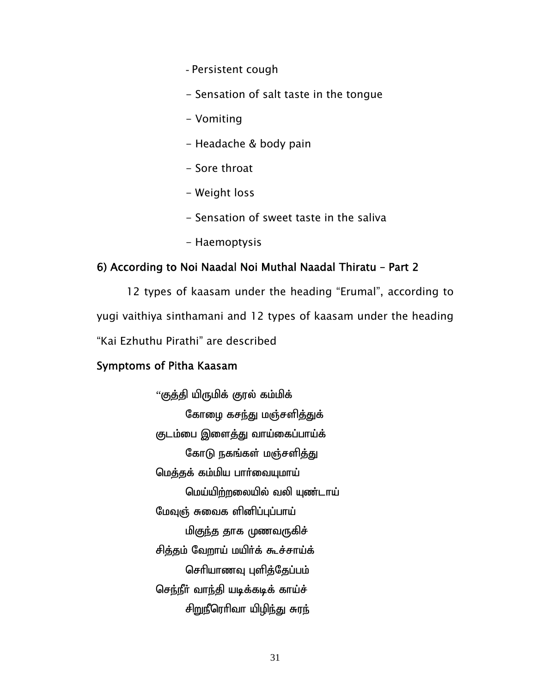- Persistent cough
- Sensation of salt taste in the tongue
- Vomiting
- Headache & body pain
- Sore throat
- Weight loss
- Sensation of sweet taste in the saliva
- Haemoptysis

#### 6) According to Noi Naadal Noi Muthal Naadal Thiratu – Part 2

 12 types of kaasam under the heading "Erumal", according to yugi vaithiya sinthamani and 12 types of kaasam under the heading "Kai Ezhuthu Pirathi" are described

#### Symptoms of Pitha Kaasam

 $``$ குத்தி யிருமிக் குரல் கம்மிக் கோழை கசந்து மஞ்சளித்துக் குடம்பை இளைத்து வாய்கைப்பாய்க் கோடு நகங்கள் மஞ்சளித்து மெத்தக் கம்மிய பார்வையுமாய் மெய்யிற்றலையில் வலி யுண்டாய் மேவுஞ் சுவைக ளினிப்புப்பாய் மி<u>குந்த</u> தாக முணவருகிச் சித்தம் வேறாய் மயிர்க் கூச்சாய்க் செரியாணவு புளித்தேப்பம் செந்நீர் வாந்தி யடிக்கடிக் காய்ச் சிறுநீரெரிவா யிழிந்து சுரந்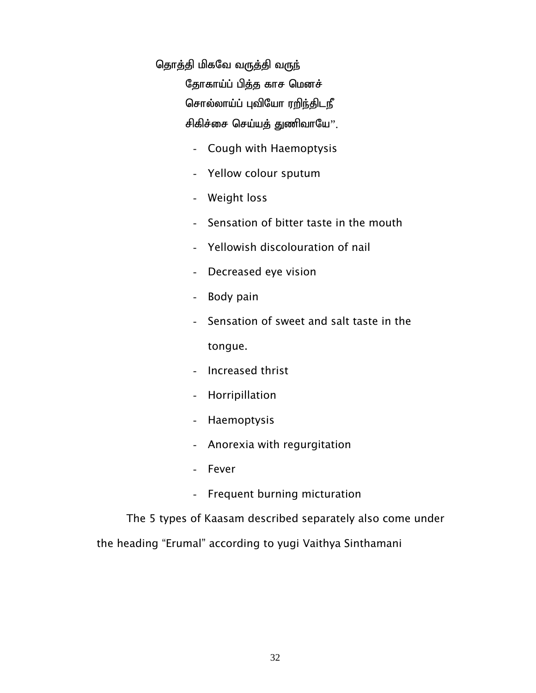தொத்தி மிகவே வருத்தி வருந்

தோகாய்ப் பித்த காச மெனச் சொல்லாய்ப் புவியோ ரறிந்திடநீ சிகிச்சை செய்யத் துணிவாயே".

- Cough with Haemoptysis
- Yellow colour sputum
- Weight loss
- Sensation of bitter taste in the mouth
- Yellowish discolouration of nail
- Decreased eye vision
- Body pain
- Sensation of sweet and salt taste in the

tongue.

- Increased thrist
- Horripillation
- Haemoptysis
- Anorexia with regurgitation
- Fever
- Frequent burning micturation

The 5 types of Kaasam described separately also come under

the heading "Erumal" according to yugi Vaithya Sinthamani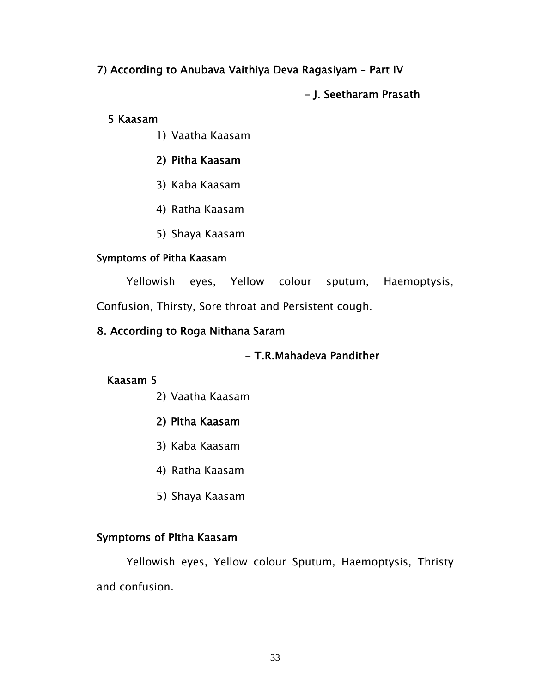# 7) According to Anubava Vaithiya Deva Ragasiyam – Part IV

# - J. Seetharam Prasath

#### 5 Kaasam

1) Vaatha Kaasam

# 2) Pitha Kaasam

- 3) Kaba Kaasam
- 4) Ratha Kaasam
- 5) Shaya Kaasam

### Symptoms of Pitha Kaasam

Yellowish eyes, Yellow colour sputum, Haemoptysis,

Confusion, Thirsty, Sore throat and Persistent cough.

# 8. According to Roga Nithana Saram

# - T.R.Mahadeva Pandither

# Kaasam 5

- 2) Vaatha Kaasam
- 2) Pitha Kaasam
- 3) Kaba Kaasam
- 4) Ratha Kaasam
- 5) Shaya Kaasam

#### Symptoms of Pitha Kaasam

Yellowish eyes, Yellow colour Sputum, Haemoptysis, Thristy and confusion.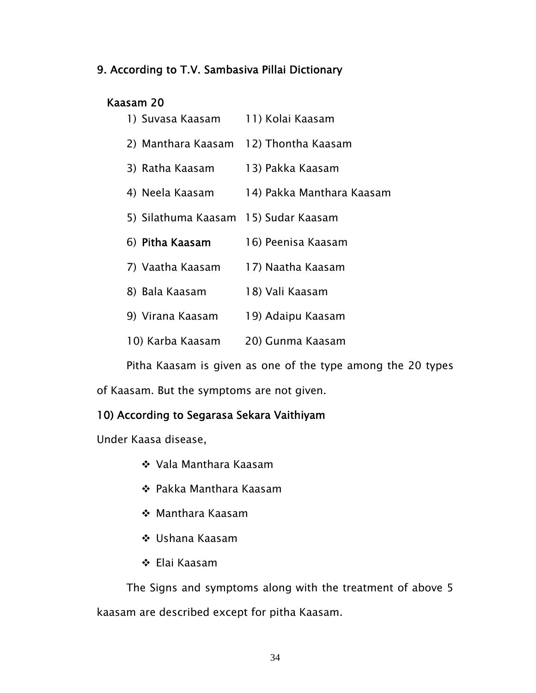### 9. According to T.V. Sambasiva Pillai Dictionary

### Kaasam 20

| 1) Suvasa Kaasam    | 11) Kolai Kaasam          |
|---------------------|---------------------------|
| 2) Manthara Kaasam  | 12) Thontha Kaasam        |
| 3) Ratha Kaasam     | 13) Pakka Kaasam          |
| 4) Neela Kaasam     | 14) Pakka Manthara Kaasam |
| 5) Silathuma Kaasam | 15) Sudar Kaasam          |
|                     |                           |
| 6) Pitha Kaasam     | 16) Peenisa Kaasam        |
| 7) Vaatha Kaasam    | 17) Naatha Kaasam         |
| 8) Bala Kaasam      | 18) Vali Kaasam           |
| 9) Virana Kaasam    | 19) Adaipu Kaasam         |

Pitha Kaasam is given as one of the type among the 20 types

of Kaasam. But the symptoms are not given.

### 10) According to Segarasa Sekara Vaithiyam

Under Kaasa disease,

- Vala Manthara Kaasam
- Pakka Manthara Kaasam
- Manthara Kaasam
- Ushana Kaasam
- Elai Kaasam

 The Signs and symptoms along with the treatment of above 5 kaasam are described except for pitha Kaasam.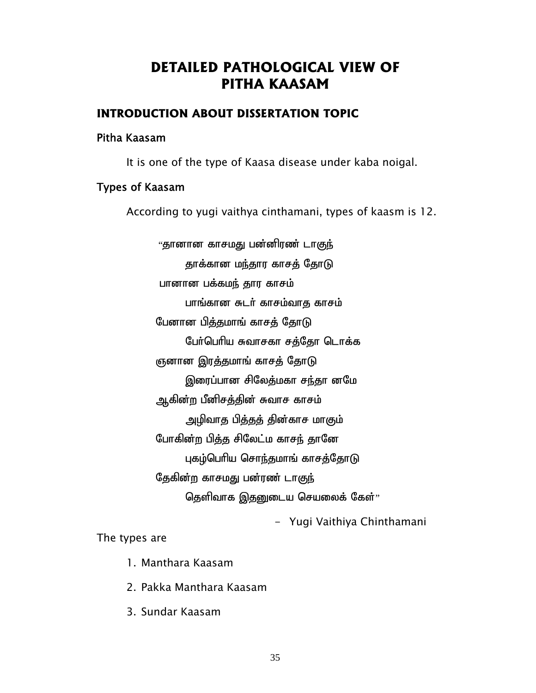# **DETAILED PATHOLOGICAL VIEW OF PITHA KAASAM**

### **INTRODUCTION ABOUT DISSERTATION TOPIC**

#### Pitha Kaasam

It is one of the type of Kaasa disease under kaba noigal.

### Types of Kaasam

According to yugi vaithya cinthamani, types of kaasm is 12.

"தானான காசமது பன்னிரண் டாகுந் தாக்கான மந்தார காசத் தோடு பானான பக்கமந் தார காசம் பாங்கான சுடர் காசம்வாத காசம் பேனான பித்தமாங் காசத் தோடு பேர்பெரிய சுவாசகா சத்தோ டொக்க ஞனான இரத்தமாங் காசத் தோடு இரைப்பான சிலேத்மகா சந்தா னமே ஆகின்ற பீனிசத்தின் சுவாச காசம் அழிவாத பித்தத் தின்காச மாகும் போகின்ற பித்த சிலேட்ம காசந் தானே புகழ்பெரிய சொந்தமாங் காசத்தோடு தேகின்ற காசமது பன்ரண் டாகுந் தெளிவாக இதனுடைய செயலைக் கேள் $\cdot$ 

- Yugi Vaithiya Chinthamani

The types are

- 1. Manthara Kaasam
- 2. Pakka Manthara Kaasam
- 3. Sundar Kaasam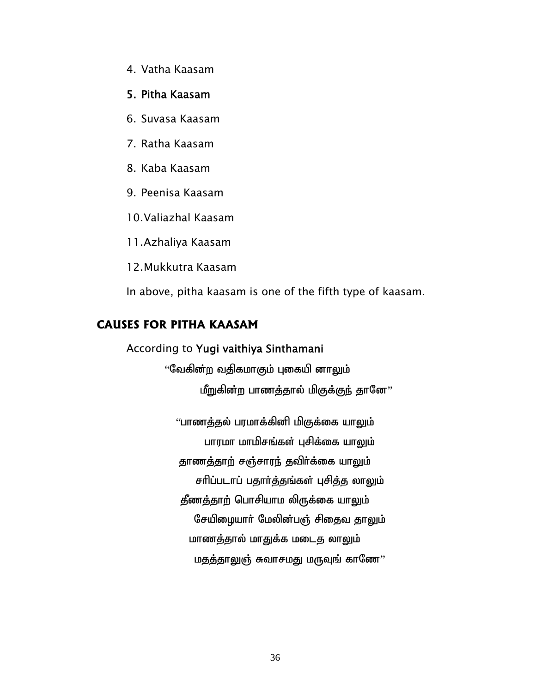4. Vatha Kaasam

#### 5. Pitha Kaasam

- 6. Suvasa Kaasam
- 7. Ratha Kaasam
- 8. Kaba Kaasam
- 9. Peenisa Kaasam
- 10.Valiazhal Kaasam

11.Azhaliya Kaasam

12.Mukkutra Kaasam

In above, pitha kaasam is one of the fifth type of kaasam.

#### **CAUSES FOR PITHA KAASAM**

### According to Yugi vaithiya Sinthamani

"வேகின்ற வதிகமாகும் புகையி னா<u>லு</u>ம் மீறுகின்ற பாணத்தால் மிகுக்குந் தானே''

"பாணத்தல் பரமாக்கினி மிகுக்கை யாலும் பாரமா மாமிசங்கள் புசிக்கை யாலும் தாணத்தாற் சஞ்சாரந் தவிர்க்கை யாலும் சரிப்படாப் பதார்த்தங்கள் புசித்த லாலும் தீணத்தாற் பொசியாம லிருக்கை யாலும் சேயிழையாா் மேலின்பஞ் சிதைவ தாலும் மாணத்தால் மாதுக்க மடைத லாலும் மதத்தாலுஞ் சுவாசமது மருவுங் காணே''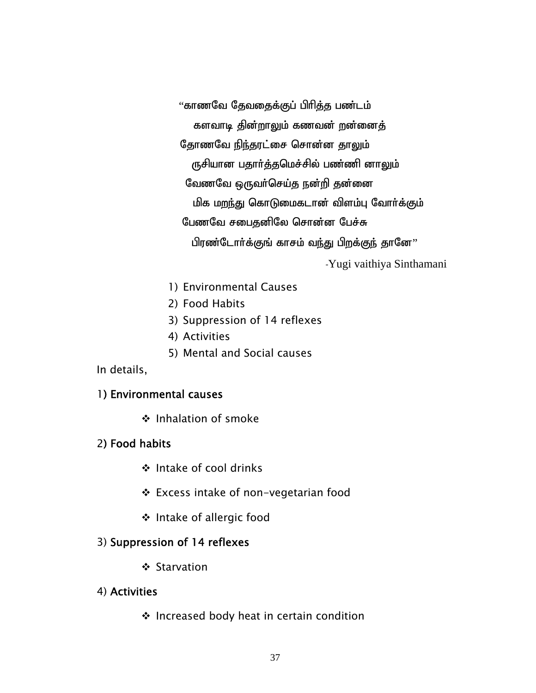"காணவே தேவதைக்குப் பிரித்த பண்டம் களவாடி தின்றாலும் கணவன் றன்னைத் தோணவே நிந்தரட்சை சொன்ன தாலும் ருசியான பதார்த்தமெச்சில் பண்ணி னாலும் வேணவே ஒருவா்செய்த நன்றி தன்னை மிக மறந்து கொடுமைகடான் விளம்பு வோர்க்கும் பேணவே சபைதனிலே சொன்ன பேச்சு பிரண்டோர்க்குங் காசம் வந்து பிறக்குந் தானே'' -Yugi vaithiya Sinthamani

- 1) Environmental Causes
- 2) Food Habits
- 3) Suppression of 14 reflexes
- 4) Activities
- 5) Mental and Social causes
- In details,

#### 1) Environmental causes

❖ Inhalation of smoke

### 2) Food habits

- Intake of cool drinks
- Excess intake of non-vegetarian food
- Intake of allergic food

### 3) Suppression of 14 reflexes

❖ Starvation

### 4) Activities

 $\cdot$  Increased body heat in certain condition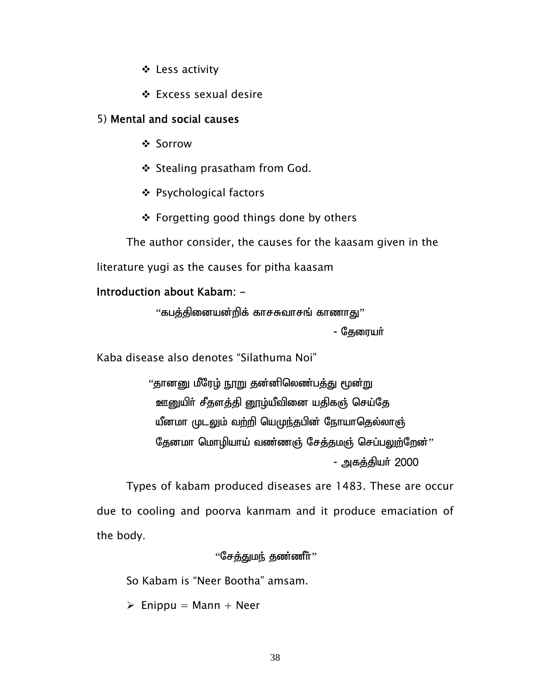- Less activity
- Excess sexual desire

#### 5) Mental and social causes

- Sorrow
- ❖ Stealing prasatham from God.
- Psychological factors
- ❖ Forgetting good things done by others

The author consider, the causes for the kaasam given in the literature yugi as the causes for pitha kaasam

#### Introduction about Kabam: -

''கபத்தினையன்றிக் காசசுவாசங் காணாது'' - தேரையா்

Kaba disease also denotes "Silathuma Noi"

"தானனு மீரேழ் நூறு தன்னிலெண்பத்து மூன்று ஊனுயிர் சீதளத்தி னூழ்யீவினை யதிகஞ் செய்தே யீனமா முடலும் வற்றி யெமுந்தபின் நோயாதெல்லாஞ் தேனமா மொழியாய் வண்ணஞ் சேத்தமஞ் செப்பலுற்றேன்" - அகத்தியர் 2000

Types of kabam produced diseases are 1483. These are occur due to cooling and poorva kanmam and it produce emaciation of the body.

 $``$ சேக்குமர், குண்ணீர் $''$ 

So Kabam is "Neer Bootha" amsam.

 $\triangleright$  Enippu = Mann + Neer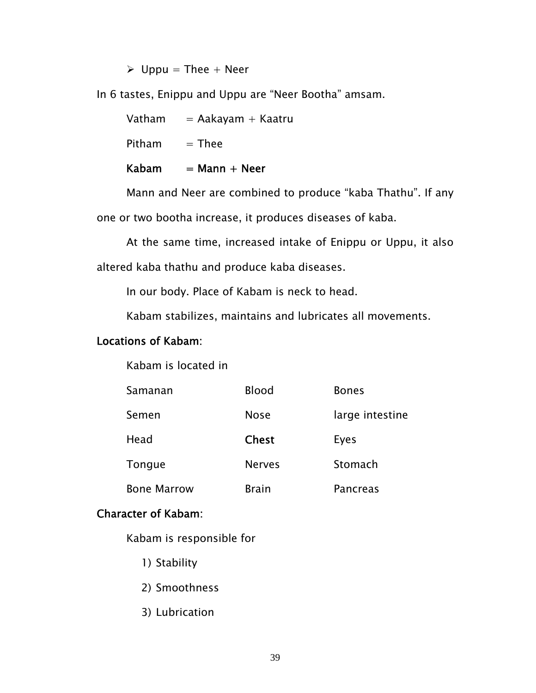$\triangleright$  Uppu = Thee + Neer

In 6 tastes, Enippu and Uppu are "Neer Bootha" amsam.

| Kabam  | $=$ Mann $+$ Neer      |
|--------|------------------------|
| Pitham | $=$ Thee               |
| Vatham | $=$ Aakayam $+$ Kaatru |

 Mann and Neer are combined to produce "kaba Thathu". If any one or two bootha increase, it produces diseases of kaba.

 At the same time, increased intake of Enippu or Uppu, it also altered kaba thathu and produce kaba diseases.

In our body. Place of Kabam is neck to head.

Kabam stabilizes, maintains and lubricates all movements.

#### Locations of Kabam:

Kabam is located in

| Samanan            | <b>Blood</b>  | <b>Bones</b>    |
|--------------------|---------------|-----------------|
| Semen              | <b>Nose</b>   | large intestine |
| Head               | <b>Chest</b>  | Eyes            |
| Tongue             | <b>Nerves</b> | Stomach         |
| <b>Bone Marrow</b> | <b>Brain</b>  | <b>Pancreas</b> |

#### Character of Kabam:

Kabam is responsible for

- 1) Stability
- 2) Smoothness
- 3) Lubrication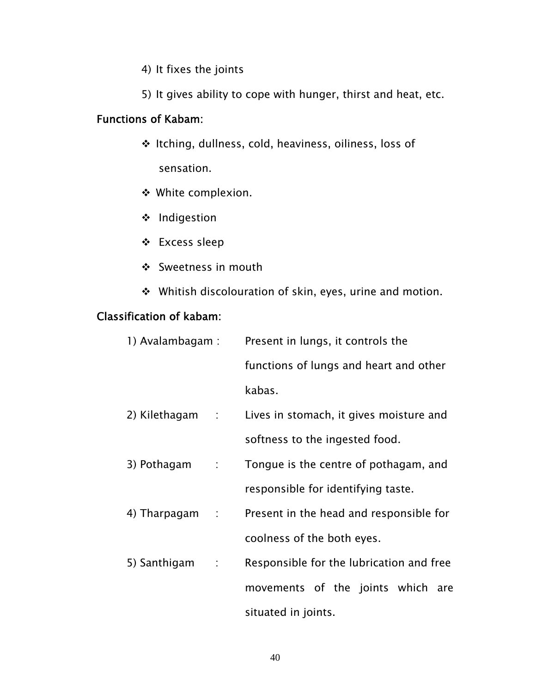- 4) It fixes the joints
- 5) It gives ability to cope with hunger, thirst and heat, etc.

### Functions of Kabam:

- Itching, dullness, cold, heaviness, oiliness, loss of sensation.
- White complexion.
- ❖ Indigestion
- Excess sleep
- Sweetness in mouth
- Whitish discolouration of skin, eyes, urine and motion.

### Classification of kabam:

| 1) Avalambagam :               | Present in lungs, it controls the        |  |
|--------------------------------|------------------------------------------|--|
|                                | functions of lungs and heart and other   |  |
|                                | kabas.                                   |  |
| 2) Kilethagam :                | Lives in stomach, it gives moisture and  |  |
|                                | softness to the ingested food.           |  |
| 3) Pothagam<br>$\sim 10^{-11}$ | Tongue is the centre of pothagam, and    |  |
|                                | responsible for identifying taste.       |  |
| 4) Tharpagam<br>$\sim 100$     | Present in the head and responsible for  |  |
|                                | coolness of the both eyes.               |  |
| 5) Santhigam<br>$\sim 100$     | Responsible for the lubrication and free |  |
|                                | movements of the joints which are        |  |
|                                | situated in joints.                      |  |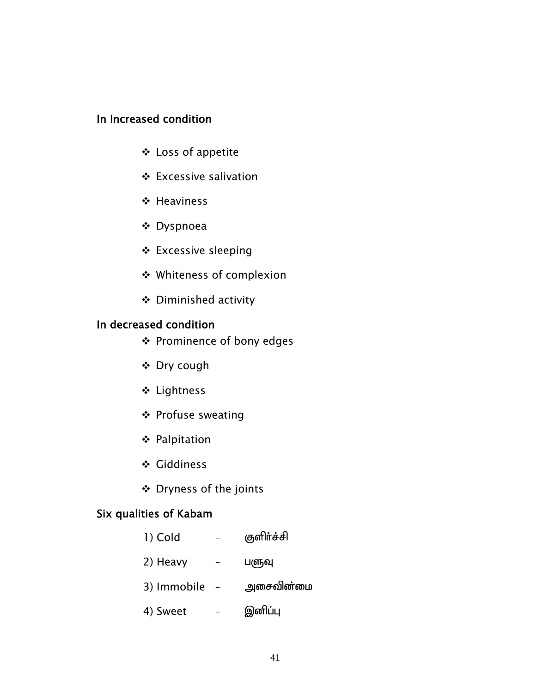### In Increased condition

- Loss of appetite
- Excessive salivation
- ❖ Heaviness
- Dyspnoea
- Excessive sleeping
- Whiteness of complexion
- Diminished activity

### In decreased condition

- Prominence of bony edges
- Dry cough
- Lightness
- ❖ Profuse sweating
- Palpitation
- Giddiness
- Dryness of the joints

### Six qualities of Kabam

| 1) Cold     | குளிர்ச்சி |
|-------------|------------|
| 2) Heavy    | பளுவு      |
| 3) Immobile | அசைவின்மை  |
| 4) Sweet    | இனிப்பு    |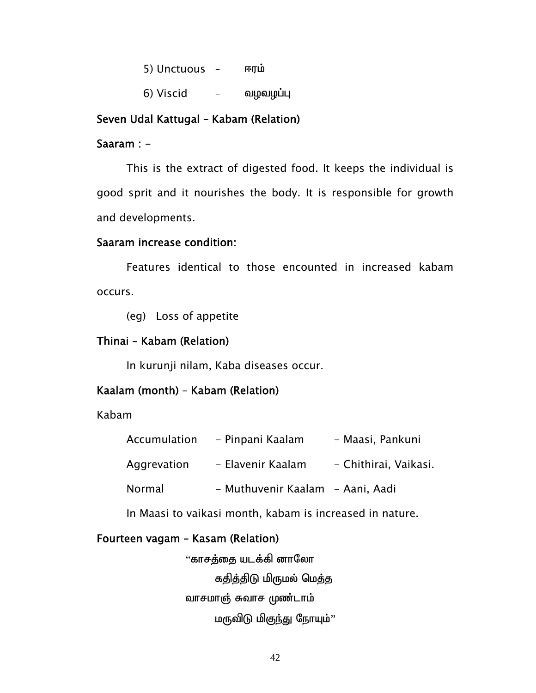$5)$  Unctuous – Figure

 $6)$  Viscid – வழவழப்பு

#### Seven Udal Kattugal – Kabam (Relation)

#### Saaram : -

 This is the extract of digested food. It keeps the individual is good sprit and it nourishes the body. It is responsible for growth and developments.

#### Saaram increase condition:

 Features identical to those encounted in increased kabam occurs.

(eg) Loss of appetite

#### Thinai – Kabam (Relation)

In kurunji nilam, Kaba diseases occur.

#### Kaalam (month) – Kabam (Relation)

Kabam

| Accumulation | - Pinpani Kaalam                 | - Maasi, Pankuni      |
|--------------|----------------------------------|-----------------------|
| Aggrevation  | - Elavenir Kaalam                | - Chithirai, Vaikasi. |
| Normal       | - Muthuvenir Kaalam - Aani, Aadi |                       |

In Maasi to vaikasi month, kabam is increased in nature.

#### Fourteen vagam – Kasam (Relation)

"காசத்தை யடக்கி னாலோ கதித்திடு மிருமல் மெத்த வாசமாஞ் சுவாச முண்டாம் மருவிடு மிகுந்து நோயும்''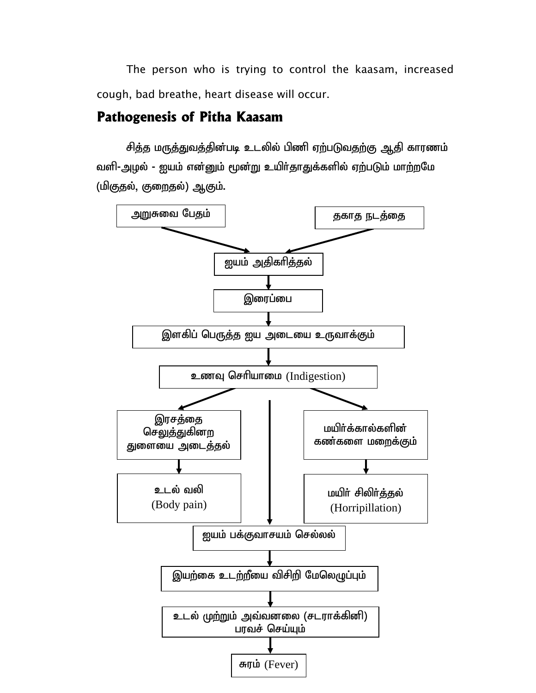The person who is trying to control the kaasam, increased cough, bad breathe, heart disease will occur.

### **Pathogenesis of Pitha Kaasam**

சித்த மருத்துவத்தின்படி உடலில் பிணி ஏற்படுவதற்கு ஆதி காரணம் வளி-அழல் - ஐயம் என்னும் மூன்று உயிர்தாதுக்களில் ஏற்படும் மாற்றமே (மிகுதல், குறைதல்) ஆகும்.

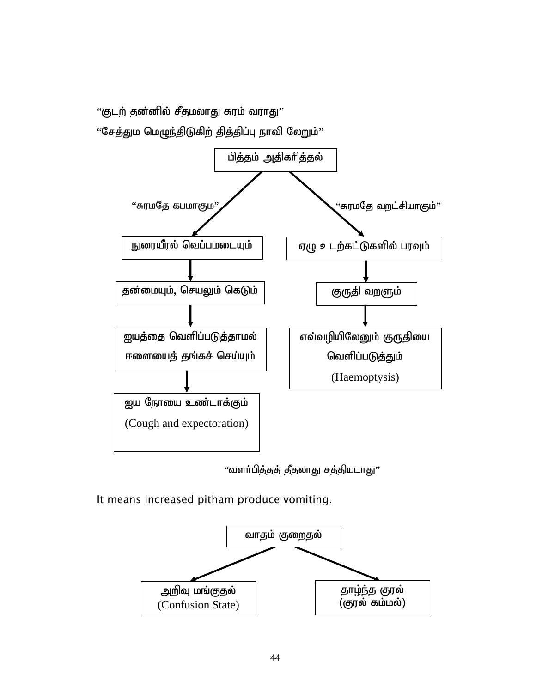"குடற் தன்னில் சீதமலாது சுரம் வராது"

 $"$ சேத்தும மெழுந்திடுகிற் தித்திப்பு நாவி லேறும் $"$ 



"வளர்பித்தத் தீதலாது சத்தியடாது"

It means increased pitham produce vomiting.

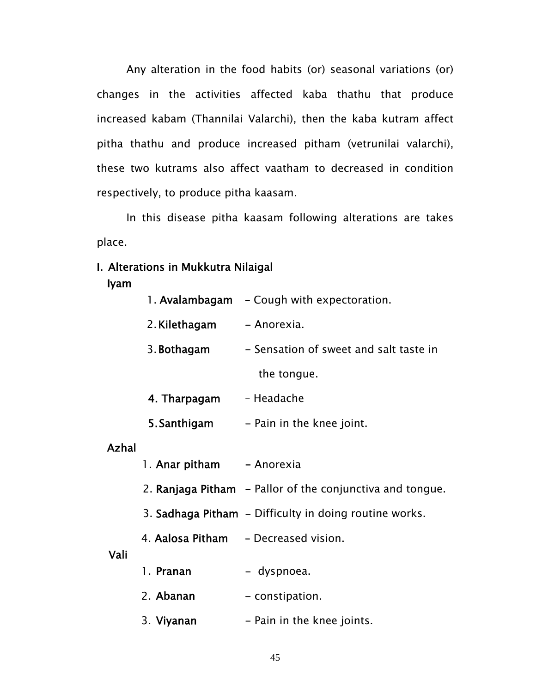Any alteration in the food habits (or) seasonal variations (or) changes in the activities affected kaba thathu that produce increased kabam (Thannilai Valarchi), then the kaba kutram affect pitha thathu and produce increased pitham (vetrunilai valarchi), these two kutrams also affect vaatham to decreased in condition respectively, to produce pitha kaasam.

 In this disease pitha kaasam following alterations are takes place.

#### I. Alterations in Mukkutra Nilaigal

Iyam

|              |                           | 1. Avalambagam – Cough with expectoration.                |  |  |
|--------------|---------------------------|-----------------------------------------------------------|--|--|
|              | 2. Kilethagam             | - Anorexia.                                               |  |  |
|              | 3. Bothagam               | - Sensation of sweet and salt taste in                    |  |  |
|              |                           | the tongue.                                               |  |  |
|              | 4. Tharpagam              | - Headache                                                |  |  |
|              | 5. Santhigam              | - Pain in the knee joint.                                 |  |  |
| <b>Azhal</b> |                           |                                                           |  |  |
|              | 1. Anar pitham - Anorexia |                                                           |  |  |
|              |                           | 2. Ranjaga Pitham – Pallor of the conjunctiva and tongue. |  |  |
|              |                           | 3. Sadhaga Pitham - Difficulty in doing routine works.    |  |  |
|              |                           | 4. Aalosa Pitham - Decreased vision.                      |  |  |
| Vali         | 1. Pranan                 | - dyspnoea.                                               |  |  |
|              | 2. Abanan                 | - constipation.                                           |  |  |
|              | 3. Viyanan                | - Pain in the knee joints.                                |  |  |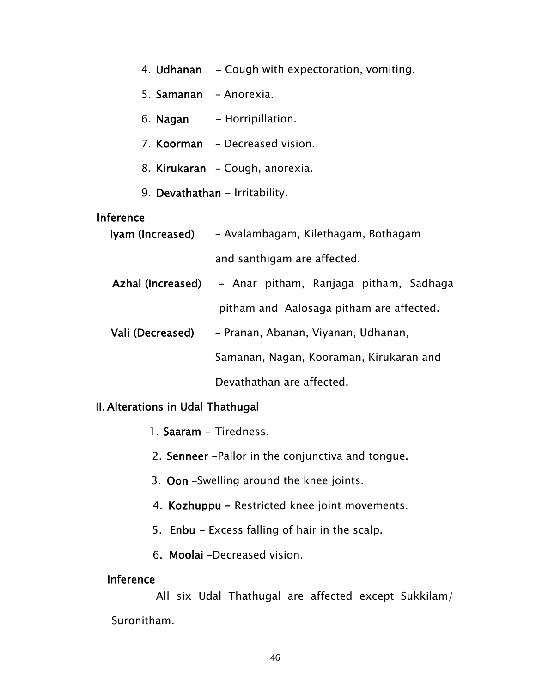- 4. Udhanan Cough with expectoration, vomiting.
- 5. Samanan Anorexia.
- 6. Nagan Horripillation.
- 7. Koorman Decreased vision.
- 8. Kirukaran Cough, anorexia.
- 9. Devathathan Irritability.

#### Inference

Iyam (Increased) – Avalambagam, Kilethagam, Bothagam and santhigam are affected.

Azhal (Increased) – Anar pitham, Ranjaga pitham, Sadhaga pitham and Aalosaga pitham are affected.

Vali (Decreased) – Pranan, Abanan, Viyanan, Udhanan, Samanan, Nagan, Kooraman, Kirukaran and Devathathan are affected.

#### II. Alterations in Udal Thathugal

- 1. Saaram Tiredness.
- 2. Senneer -Pallor in the conjunctiva and tongue.
- 3. Oon –Swelling around the knee joints.
- 4. Kozhuppu Restricted knee joint movements.
- 5. Enbu Excess falling of hair in the scalp.
- 6. Moolai –Decreased vision.

#### Inference

 All six Udal Thathugal are affected except Sukkilam/ Suronitham.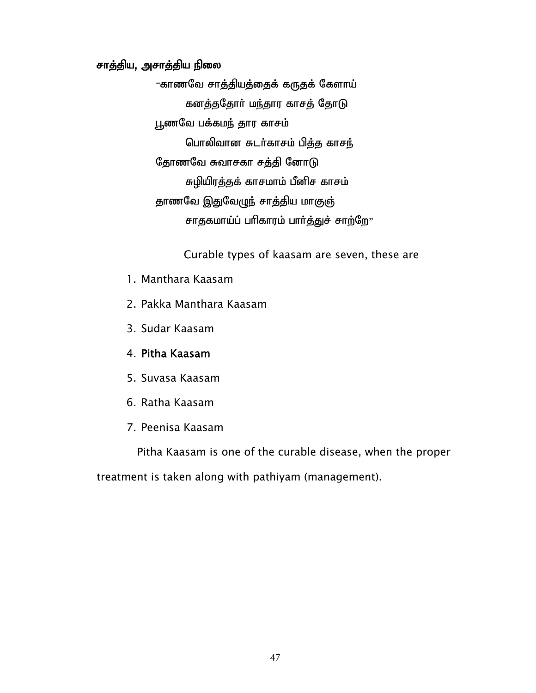### சாத்திய, அசாத்திய நிலை

"காணவே சாத்தியத்தைக் கருதக் கேளாய் கனத்ததோர் மந்தார காசத் தோடு பூணவே பக்கமந் தார காசம் பொலிவான சுடர்காசம் பித்த காசந் தோணவே சுவாசகா சத்தி னோடு சுழியிரத்தக் காசமாம் பீனிச காசம் தாணவே இதுவேழுந் சாத்திய மாகுஞ் சாதகமாய்ப் பரிகாரம் பார்த்துச் சாற்றே $v$ 

Curable types of kaasam are seven, these are

- 1. Manthara Kaasam
- 2. Pakka Manthara Kaasam
- 3. Sudar Kaasam
- 4. Pitha Kaasam
- 5. Suvasa Kaasam
- 6. Ratha Kaasam
- 7. Peenisa Kaasam

 Pitha Kaasam is one of the curable disease, when the proper treatment is taken along with pathiyam (management).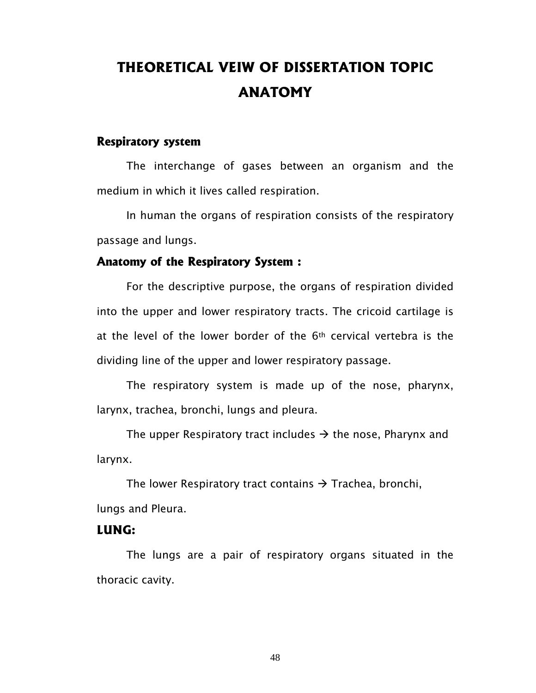# **THEORETICAL VEIW OF DISSERTATION TOPIC ANATOMY**

#### **Respiratory system**

The interchange of gases between an organism and the medium in which it lives called respiration.

 In human the organs of respiration consists of the respiratory passage and lungs.

#### **Anatomy of the Respiratory System :**

For the descriptive purpose, the organs of respiration divided into the upper and lower respiratory tracts. The cricoid cartilage is at the level of the lower border of the 6th cervical vertebra is the dividing line of the upper and lower respiratory passage.

 The respiratory system is made up of the nose, pharynx, larynx, trachea, bronchi, lungs and pleura.

The upper Respiratory tract includes  $\rightarrow$  the nose, Pharynx and larynx.

The lower Respiratory tract contains  $\rightarrow$  Trachea, bronchi, lungs and Pleura.

#### **LUNG:**

The lungs are a pair of respiratory organs situated in the thoracic cavity.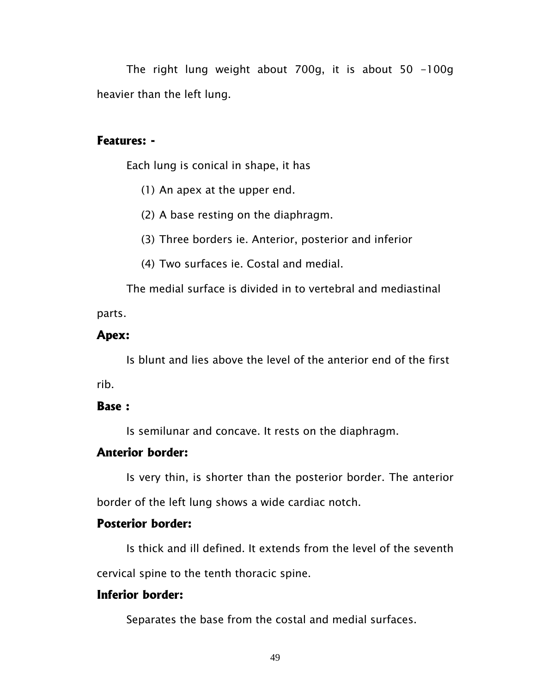The right lung weight about 700g, it is about 50 -100g heavier than the left lung.

#### **Features: -**

Each lung is conical in shape, it has

- (1) An apex at the upper end.
- (2) A base resting on the diaphragm.
- (3) Three borders ie. Anterior, posterior and inferior
- (4) Two surfaces ie. Costal and medial.

The medial surface is divided in to vertebral and mediastinal parts.

#### **Apex:**

Is blunt and lies above the level of the anterior end of the first rib.

#### **Base :**

Is semilunar and concave. It rests on the diaphragm.

#### **Anterior border:**

Is very thin, is shorter than the posterior border. The anterior border of the left lung shows a wide cardiac notch.

#### **Posterior border:**

Is thick and ill defined. It extends from the level of the seventh cervical spine to the tenth thoracic spine.

#### **Inferior border:**

Separates the base from the costal and medial surfaces.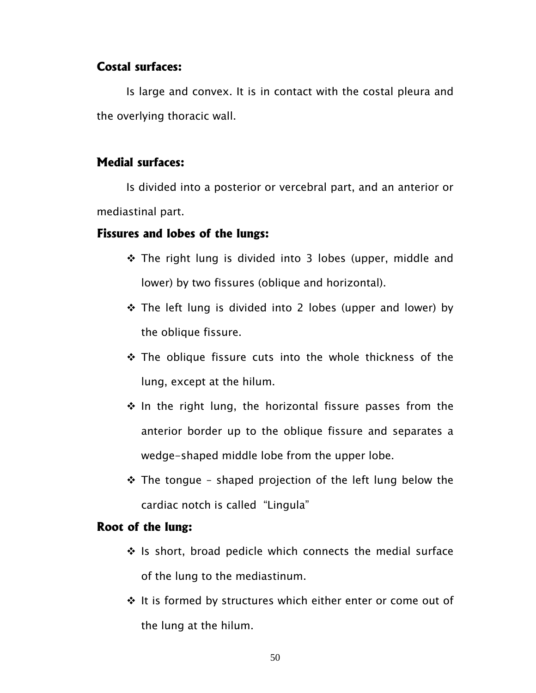#### **Costal surfaces:**

Is large and convex. It is in contact with the costal pleura and the overlying thoracic wall.

#### **Medial surfaces:**

Is divided into a posterior or vercebral part, and an anterior or mediastinal part.

#### **Fissures and lobes of the lungs:**

- ◆ The right lung is divided into 3 lobes (upper, middle and lower) by two fissures (oblique and horizontal).
- \* The left lung is divided into 2 lobes (upper and lower) by the oblique fissure.
- \* The oblique fissure cuts into the whole thickness of the lung, except at the hilum.
- $\cdot$  In the right lung, the horizontal fissure passes from the anterior border up to the oblique fissure and separates a wedge-shaped middle lobe from the upper lobe.
- $\div$  The tongue shaped projection of the left lung below the cardiac notch is called "Lingula"

#### **Root of the lung:**

- $\div$  Is short, broad pedicle which connects the medial surface of the lung to the mediastinum.
- $\div$  It is formed by structures which either enter or come out of the lung at the hilum.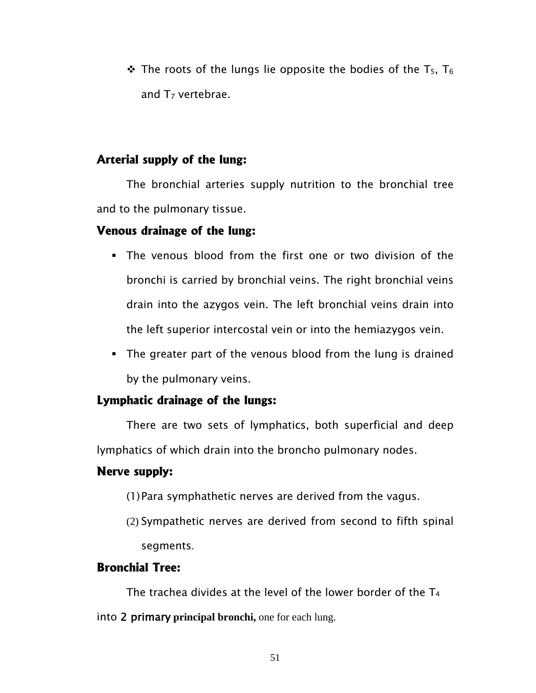$\div$  The roots of the lungs lie opposite the bodies of the T<sub>5</sub>, T<sub>6</sub> and  $T<sub>7</sub>$  vertebrae.

### **Arterial supply of the lung:**

The bronchial arteries supply nutrition to the bronchial tree and to the pulmonary tissue.

### **Venous drainage of the lung:**

- The venous blood from the first one or two division of the bronchi is carried by bronchial veins. The right bronchial veins drain into the azygos vein. The left bronchial veins drain into the left superior intercostal vein or into the hemiazygos vein.
- The greater part of the venous blood from the lung is drained by the pulmonary veins.

### **Lymphatic drainage of the lungs:**

There are two sets of lymphatics, both superficial and deep lymphatics of which drain into the broncho pulmonary nodes.

### **Nerve supply:**

- (1)Para symphathetic nerves are derived from the vagus.
- (2) Sympathetic nerves are derived from second to fifth spinal segments.

### **Bronchial Tree:**

The trachea divides at the level of the lower border of the  $T_4$ into 2 primary **principal bronchi,** one for each lung.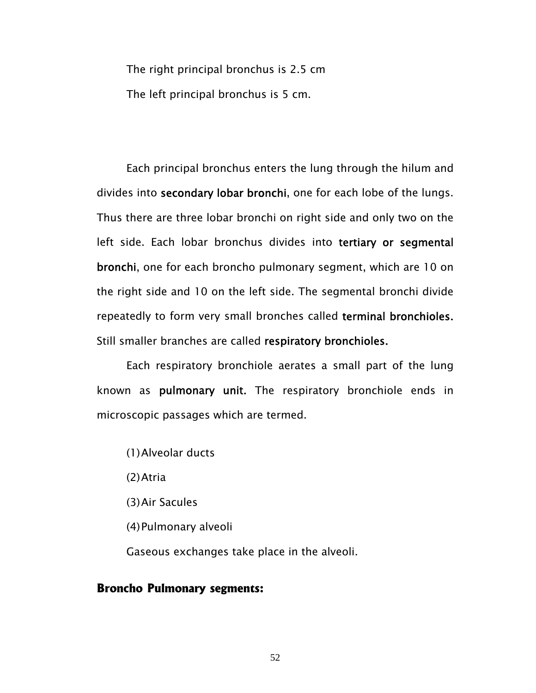The right principal bronchus is 2.5 cm The left principal bronchus is 5 cm.

Each principal bronchus enters the lung through the hilum and divides into secondary lobar bronchi, one for each lobe of the lungs. Thus there are three lobar bronchi on right side and only two on the left side. Each lobar bronchus divides into tertiary or segmental bronchi, one for each broncho pulmonary segment, which are 10 on the right side and 10 on the left side. The segmental bronchi divide repeatedly to form very small bronches called terminal bronchioles. Still smaller branches are called respiratory bronchioles.

 Each respiratory bronchiole aerates a small part of the lung known as pulmonary unit. The respiratory bronchiole ends in microscopic passages which are termed.

(1)Alveolar ducts

(2)Atria

(3)Air Sacules

(4)Pulmonary alveoli

Gaseous exchanges take place in the alveoli.

#### **Broncho Pulmonary segments:**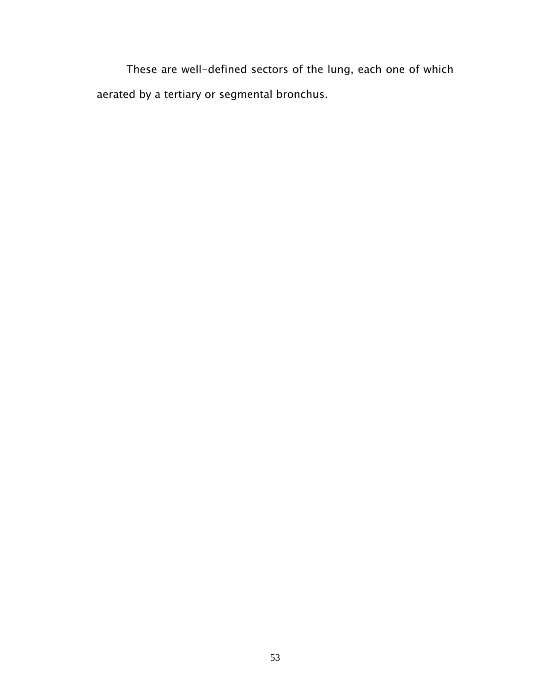These are well-defined sectors of the lung, each one of which aerated by a tertiary or segmental bronchus.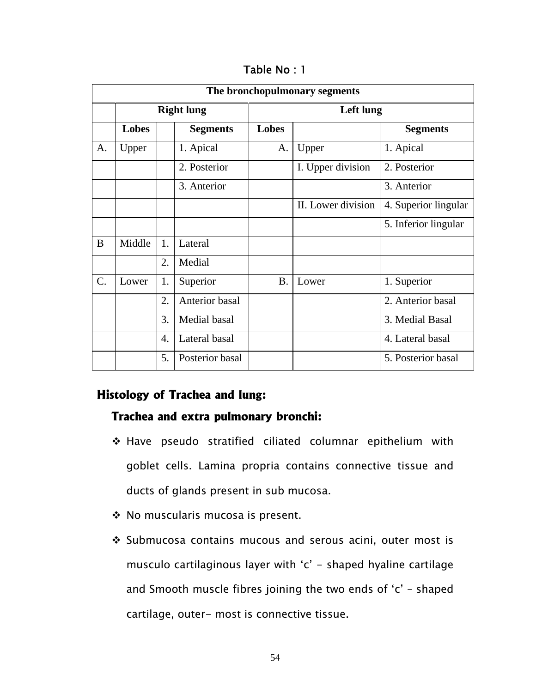| The bronchopulmonary segments |                   |    |                 |                  |                    |                      |  |
|-------------------------------|-------------------|----|-----------------|------------------|--------------------|----------------------|--|
|                               | <b>Right lung</b> |    |                 | <b>Left lung</b> |                    |                      |  |
|                               | <b>Lobes</b>      |    | <b>Segments</b> | <b>Lobes</b>     |                    | <b>Segments</b>      |  |
| A.                            | Upper             |    | 1. Apical       | A.               | Upper              | 1. Apical            |  |
|                               |                   |    | 2. Posterior    |                  | I. Upper division  | 2. Posterior         |  |
|                               |                   |    | 3. Anterior     |                  |                    | 3. Anterior          |  |
|                               |                   |    |                 |                  | II. Lower division | 4. Superior lingular |  |
|                               |                   |    |                 |                  |                    | 5. Inferior lingular |  |
| B                             | Middle            | 1. | Lateral         |                  |                    |                      |  |
|                               |                   | 2. | Medial          |                  |                    |                      |  |
| $\mathcal{C}$ .               | Lower             | 1. | Superior        | <b>B.</b>        | Lower              | 1. Superior          |  |
|                               |                   | 2. | Anterior basal  |                  |                    | 2. Anterior basal    |  |
|                               |                   | 3. | Medial basal    |                  |                    | 3. Medial Basal      |  |
|                               |                   | 4. | Lateral basal   |                  |                    | 4. Lateral basal     |  |
|                               |                   | 5. | Posterior basal |                  |                    | 5. Posterior basal   |  |

Table No : 1

### **Histology of Trachea and lung:**

#### **Trachea and extra pulmonary bronchi:**

- Have pseudo stratified ciliated columnar epithelium with goblet cells. Lamina propria contains connective tissue and ducts of glands present in sub mucosa.
- ◆ No muscularis mucosa is present.
- ❖ Submucosa contains mucous and serous acini, outer most is musculo cartilaginous layer with 'c' - shaped hyaline cartilage and Smooth muscle fibres joining the two ends of 'c' – shaped cartilage, outer- most is connective tissue.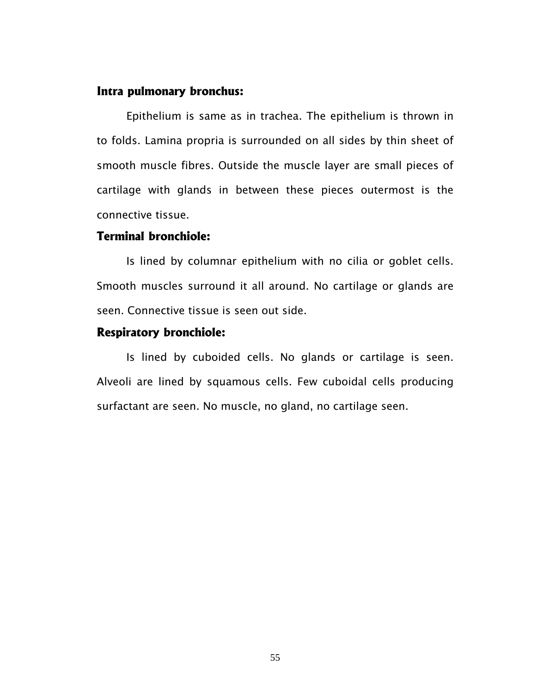#### **Intra pulmonary bronchus:**

Epithelium is same as in trachea. The epithelium is thrown in to folds. Lamina propria is surrounded on all sides by thin sheet of smooth muscle fibres. Outside the muscle layer are small pieces of cartilage with glands in between these pieces outermost is the connective tissue.

#### **Terminal bronchiole:**

Is lined by columnar epithelium with no cilia or goblet cells. Smooth muscles surround it all around. No cartilage or glands are seen. Connective tissue is seen out side.

#### **Respiratory bronchiole:**

Is lined by cuboided cells. No glands or cartilage is seen. Alveoli are lined by squamous cells. Few cuboidal cells producing surfactant are seen. No muscle, no gland, no cartilage seen.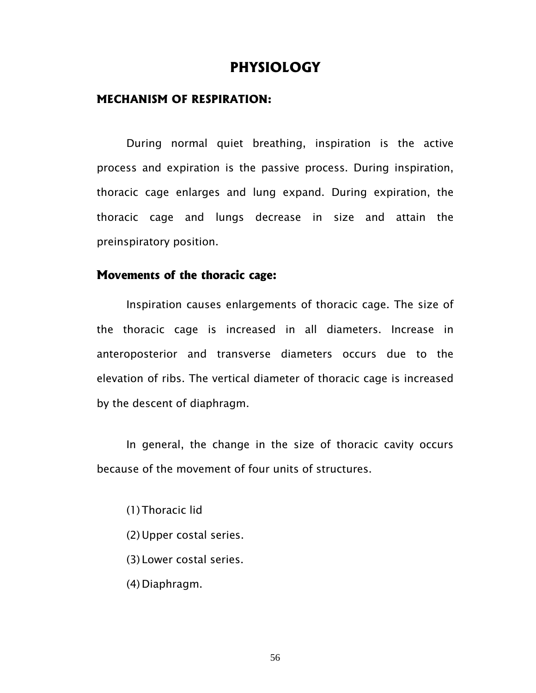### **PHYSIOLOGY**

#### **MECHANISM OF RESPIRATION:**

 During normal quiet breathing, inspiration is the active process and expiration is the passive process. During inspiration, thoracic cage enlarges and lung expand. During expiration, the thoracic cage and lungs decrease in size and attain the preinspiratory position.

#### **Movements of the thoracic cage:**

Inspiration causes enlargements of thoracic cage. The size of the thoracic cage is increased in all diameters. Increase in anteroposterior and transverse diameters occurs due to the elevation of ribs. The vertical diameter of thoracic cage is increased by the descent of diaphragm.

 In general, the change in the size of thoracic cavity occurs because of the movement of four units of structures.

(1) Thoracic lid

- (2)Upper costal series.
- (3) Lower costal series.
- (4) Diaphragm.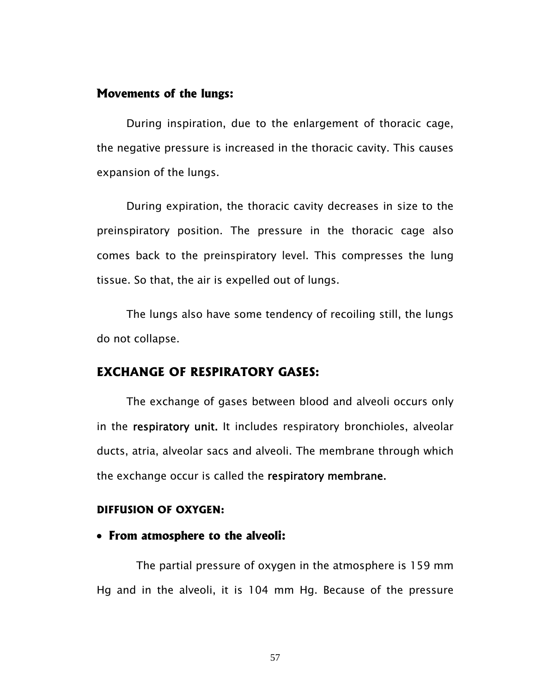#### **Movements of the lungs:**

During inspiration, due to the enlargement of thoracic cage, the negative pressure is increased in the thoracic cavity. This causes expansion of the lungs.

 During expiration, the thoracic cavity decreases in size to the preinspiratory position. The pressure in the thoracic cage also comes back to the preinspiratory level. This compresses the lung tissue. So that, the air is expelled out of lungs.

The lungs also have some tendency of recoiling still, the lungs do not collapse.

#### **EXCHANGE OF RESPIRATORY GASES:**

The exchange of gases between blood and alveoli occurs only in the respiratory unit. It includes respiratory bronchioles, alveolar ducts, atria, alveolar sacs and alveoli. The membrane through which the exchange occur is called the respiratory membrane.

#### **DIFFUSION OF OXYGEN:**

#### • **From atmosphere to the alveoli:**

The partial pressure of oxygen in the atmosphere is 159 mm Hg and in the alveoli, it is 104 mm Hg. Because of the pressure

57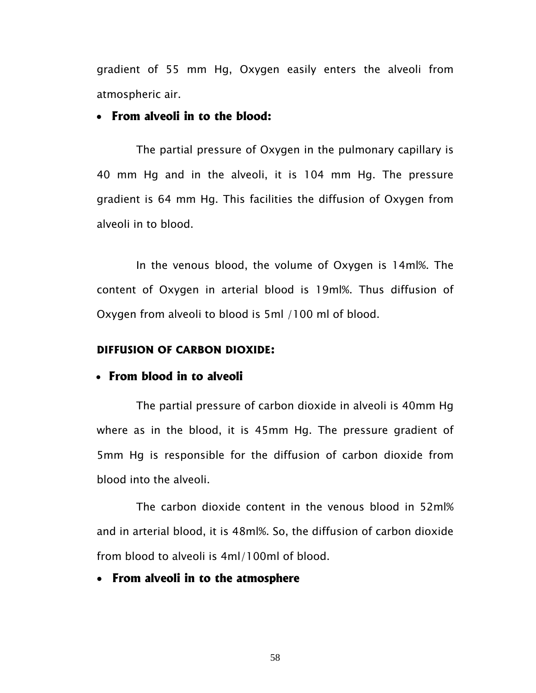gradient of 55 mm Hg, Oxygen easily enters the alveoli from atmospheric air.

#### • **From alveoli in to the blood:**

The partial pressure of Oxygen in the pulmonary capillary is 40 mm Hg and in the alveoli, it is 104 mm Hg. The pressure gradient is 64 mm Hg. This facilities the diffusion of Oxygen from alveoli in to blood.

In the venous blood, the volume of Oxygen is 14ml%. The content of Oxygen in arterial blood is 19ml%. Thus diffusion of Oxygen from alveoli to blood is 5ml /100 ml of blood.

#### **DIFFUSION OF CARBON DIOXIDE:**

#### • **From blood in to alveoli**

The partial pressure of carbon dioxide in alveoli is 40mm Hg where as in the blood, it is 45mm Hg. The pressure gradient of 5mm Hg is responsible for the diffusion of carbon dioxide from blood into the alveoli.

The carbon dioxide content in the venous blood in 52ml% and in arterial blood, it is 48ml%. So, the diffusion of carbon dioxide from blood to alveoli is 4ml/100ml of blood.

• **From alveoli in to the atmosphere**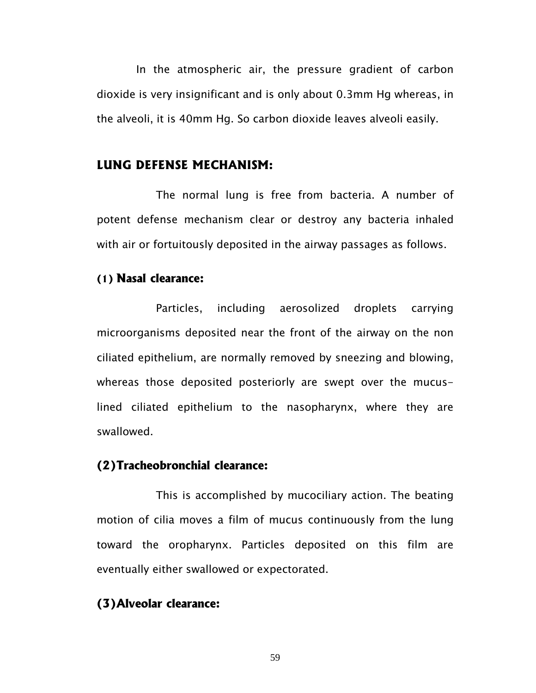In the atmospheric air, the pressure gradient of carbon dioxide is very insignificant and is only about 0.3mm Hg whereas, in the alveoli, it is 40mm Hg. So carbon dioxide leaves alveoli easily.

#### **LUNG DEFENSE MECHANISM:**

The normal lung is free from bacteria. A number of potent defense mechanism clear or destroy any bacteria inhaled with air or fortuitously deposited in the airway passages as follows.

#### **(1) Nasal clearance:**

Particles, including aerosolized droplets carrying microorganisms deposited near the front of the airway on the non ciliated epithelium, are normally removed by sneezing and blowing, whereas those deposited posteriorly are swept over the mucuslined ciliated epithelium to the nasopharynx, where they are swallowed.

#### **(2)Tracheobronchial clearance:**

This is accomplished by mucociliary action. The beating motion of cilia moves a film of mucus continuously from the lung toward the oropharynx. Particles deposited on this film are eventually either swallowed or expectorated.

#### **(3)Alveolar clearance:**

59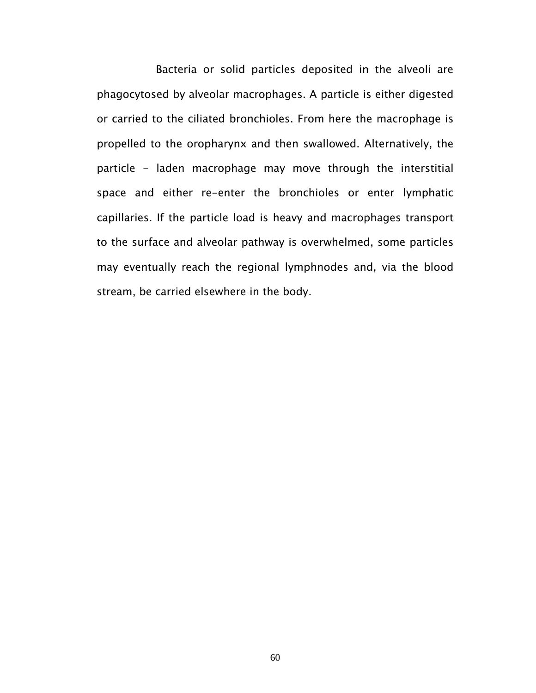Bacteria or solid particles deposited in the alveoli are phagocytosed by alveolar macrophages. A particle is either digested or carried to the ciliated bronchioles. From here the macrophage is propelled to the oropharynx and then swallowed. Alternatively, the particle - laden macrophage may move through the interstitial space and either re-enter the bronchioles or enter lymphatic capillaries. If the particle load is heavy and macrophages transport to the surface and alveolar pathway is overwhelmed, some particles may eventually reach the regional lymphnodes and, via the blood stream, be carried elsewhere in the body.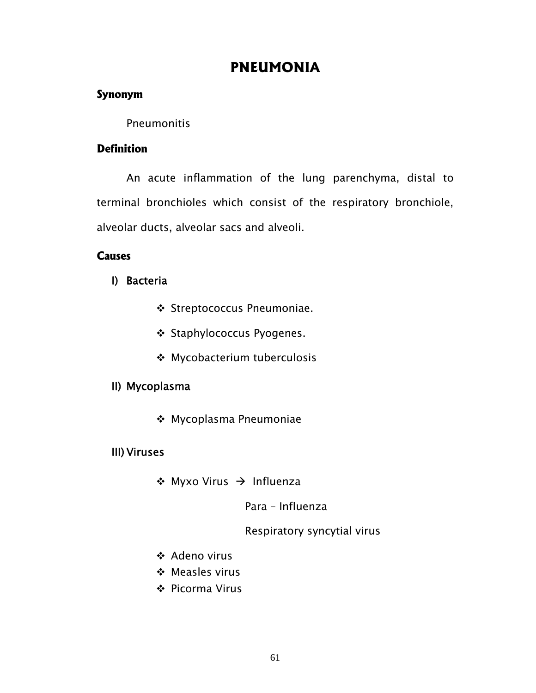# **PNEUMONIA**

### **Synonym**

### Pneumonitis

### **Definition**

An acute inflammation of the lung parenchyma, distal to terminal bronchioles which consist of the respiratory bronchiole, alveolar ducts, alveolar sacs and alveoli.

### **Causes**

- I) Bacteria
	- ◆ Streptococcus Pneumoniae.
	- ❖ Staphylococcus Pyogenes.
	- Mycobacterium tuberculosis

### II) Mycoplasma

Mycoplasma Pneumoniae

### III) Viruses

 $\div$  Myxo Virus  $\rightarrow$  Influenza

### Para – Influenza

### Respiratory syncytial virus

- Adeno virus
- Measles virus
- ❖ Picorma Virus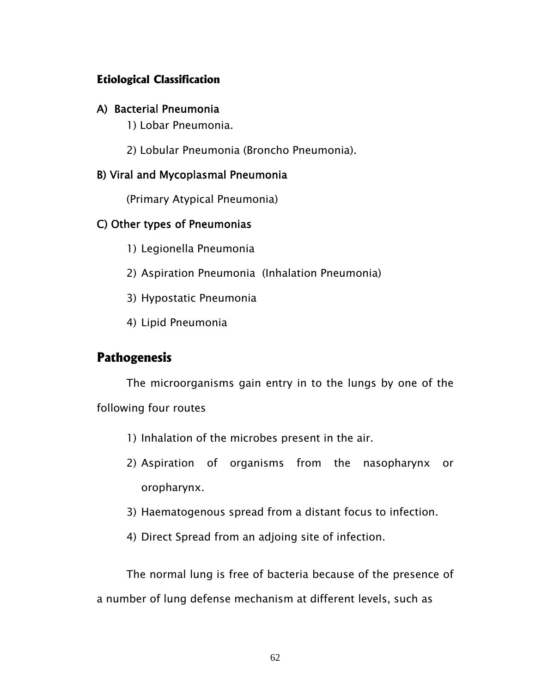### **Etiological Classification**

#### A) Bacterial Pneumonia

1) Lobar Pneumonia.

2) Lobular Pneumonia (Broncho Pneumonia).

### B) Viral and Mycoplasmal Pneumonia

(Primary Atypical Pneumonia)

### C) Other types of Pneumonias

- 1) Legionella Pneumonia
- 2) Aspiration Pneumonia (Inhalation Pneumonia)
- 3) Hypostatic Pneumonia
- 4) Lipid Pneumonia

### **Pathogenesis**

The microorganisms gain entry in to the lungs by one of the following four routes

- 1) Inhalation of the microbes present in the air.
- 2) Aspiration of organisms from the nasopharynx or oropharynx.
- 3) Haematogenous spread from a distant focus to infection.
- 4) Direct Spread from an adjoing site of infection.

The normal lung is free of bacteria because of the presence of a number of lung defense mechanism at different levels, such as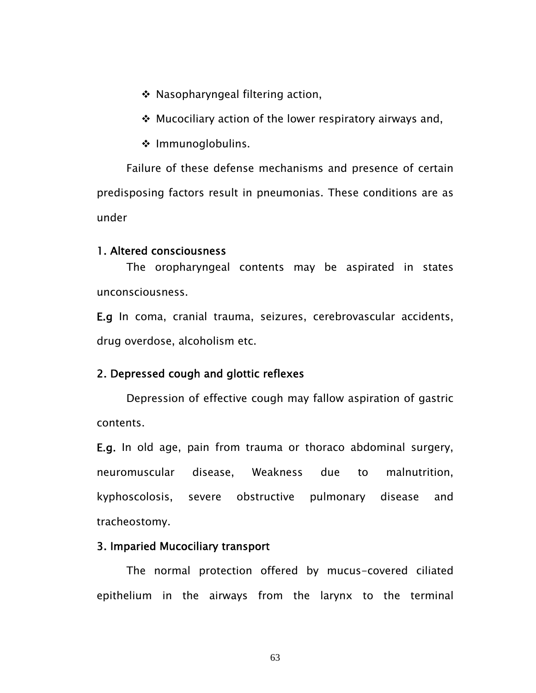- Nasopharyngeal filtering action,
- $\cdot$  Mucociliary action of the lower respiratory airways and,
- ❖ Immunoglobulins.

 Failure of these defense mechanisms and presence of certain predisposing factors result in pneumonias. These conditions are as under

#### 1. Altered consciousness

 The oropharyngeal contents may be aspirated in states unconsciousness.

E.g In coma, cranial trauma, seizures, cerebrovascular accidents, drug overdose, alcoholism etc.

#### 2. Depressed cough and glottic reflexes

 Depression of effective cough may fallow aspiration of gastric contents.

E.g. In old age, pain from trauma or thoraco abdominal surgery, neuromuscular disease, Weakness due to malnutrition, kyphoscolosis, severe obstructive pulmonary disease and tracheostomy.

#### 3. Imparied Mucociliary transport

 The normal protection offered by mucus-covered ciliated epithelium in the airways from the larynx to the terminal

63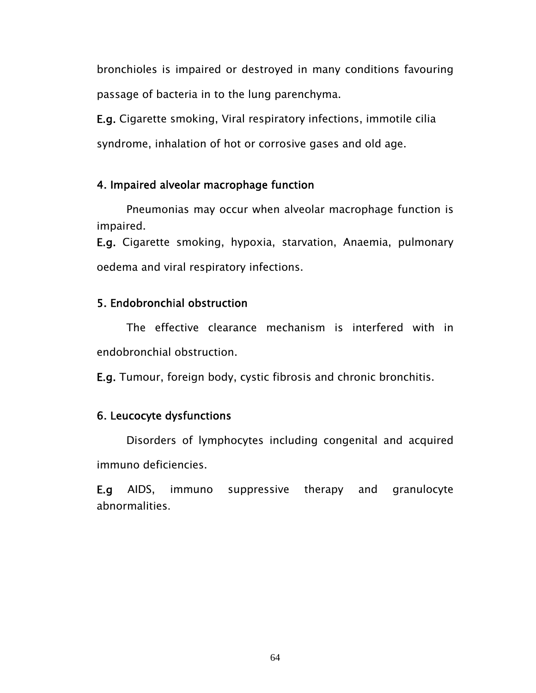bronchioles is impaired or destroyed in many conditions favouring passage of bacteria in to the lung parenchyma.

E.g. Cigarette smoking, Viral respiratory infections, immotile cilia syndrome, inhalation of hot or corrosive gases and old age.

#### 4. Impaired alveolar macrophage function

 Pneumonias may occur when alveolar macrophage function is impaired.

E.g. Cigarette smoking, hypoxia, starvation, Anaemia, pulmonary oedema and viral respiratory infections.

### 5. Endobronchial obstruction

 The effective clearance mechanism is interfered with in endobronchial obstruction.

E.g. Tumour, foreign body, cystic fibrosis and chronic bronchitis.

### 6. Leucocyte dysfunctions

 Disorders of lymphocytes including congenital and acquired immuno deficiencies.

E.g AIDS, immuno suppressive therapy and granulocyte abnormalities.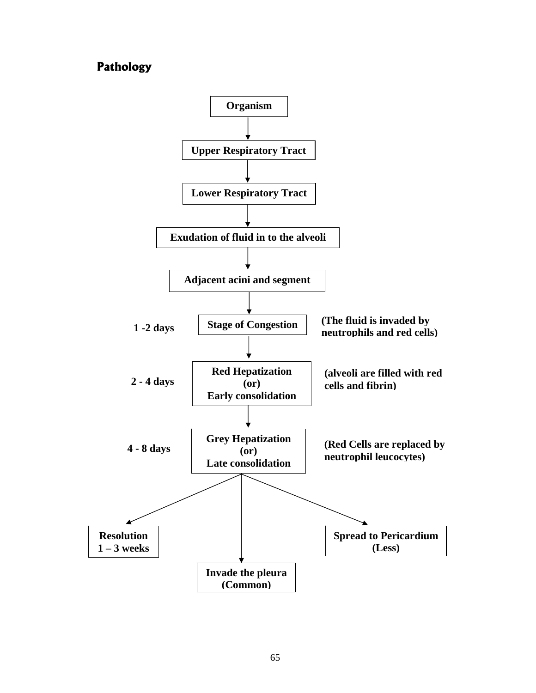### **Pathology**

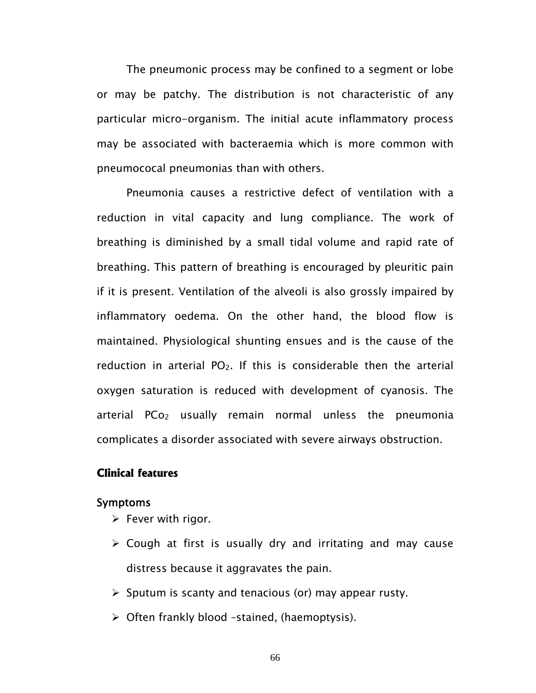The pneumonic process may be confined to a segment or lobe or may be patchy. The distribution is not characteristic of any particular micro-organism. The initial acute inflammatory process may be associated with bacteraemia which is more common with pneumococal pneumonias than with others.

 Pneumonia causes a restrictive defect of ventilation with a reduction in vital capacity and lung compliance. The work of breathing is diminished by a small tidal volume and rapid rate of breathing. This pattern of breathing is encouraged by pleuritic pain if it is present. Ventilation of the alveoli is also grossly impaired by inflammatory oedema. On the other hand, the blood flow is maintained. Physiological shunting ensues and is the cause of the reduction in arterial  $PO<sub>2</sub>$ . If this is considerable then the arterial oxygen saturation is reduced with development of cyanosis. The arterial PCo<sub>2</sub> usually remain normal unless the pneumonia complicates a disorder associated with severe airways obstruction.

#### **Clinical features**

#### Symptoms

- $\triangleright$  Fever with rigor.
- $\triangleright$  Cough at first is usually dry and irritating and may cause distress because it aggravates the pain.
- $\triangleright$  Sputum is scanty and tenacious (or) may appear rusty.
- $\triangleright$  Often frankly blood -stained, (haemoptysis).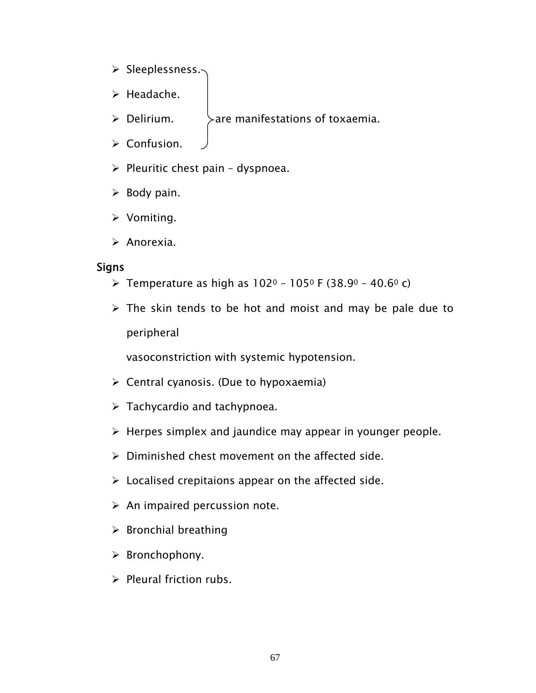- ¾ Sleeplessness.
- $\triangleright$  Headache.
- $\triangleright$  Delirium.  $\triangleright$  are manifestations of toxaemia.
- $\triangleright$  Confusion.
- $\triangleright$  Pleuritic chest pain dyspnoea.
- $\triangleright$  Body pain.
- $\triangleright$  Vomiting.
- $\triangleright$  Anorexia.

#### Signs

- **≻** Temperature as high as  $102° 105°$  F (38.9° 40.6° c)
- $\triangleright$  The skin tends to be hot and moist and may be pale due to peripheral

vasoconstriction with systemic hypotension.

- $\triangleright$  Central cyanosis. (Due to hypoxaemia)
- $\triangleright$  Tachycardio and tachypnoea.
- $\triangleright$  Herpes simplex and jaundice may appear in younger people.
- $\triangleright$  Diminished chest movement on the affected side.
- $\triangleright$  Localised crepitaions appear on the affected side.
- $\triangleright$  An impaired percussion note.
- $\triangleright$  Bronchial breathing
- $\triangleright$  Bronchophony.
- $\triangleright$  Pleural friction rubs.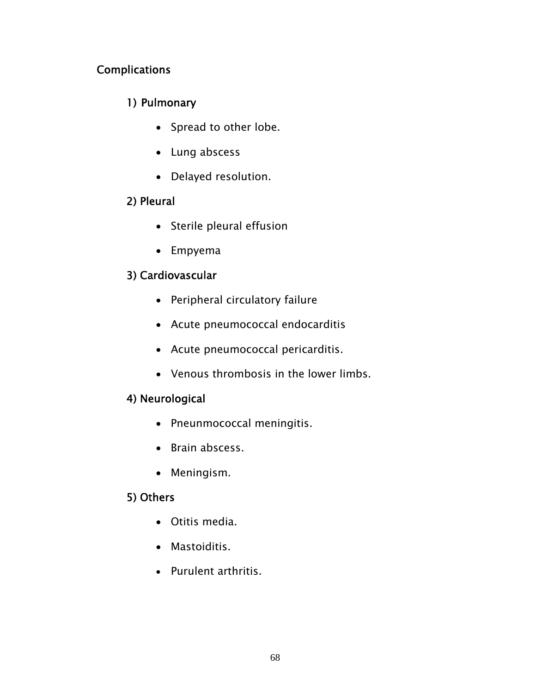### Complications

### 1) Pulmonary

- Spread to other lobe.
- Lung abscess
- Delayed resolution.

### 2) Pleural

- Sterile pleural effusion
- Empyema

### 3) Cardiovascular

- Peripheral circulatory failure
- Acute pneumococcal endocarditis
- Acute pneumococcal pericarditis.
- Venous thrombosis in the lower limbs.

### 4) Neurological

- Pneunmococcal meningitis.
- Brain abscess.
- Meningism.

### 5) Others

- Otitis media.
- Mastoiditis.
- Purulent arthritis.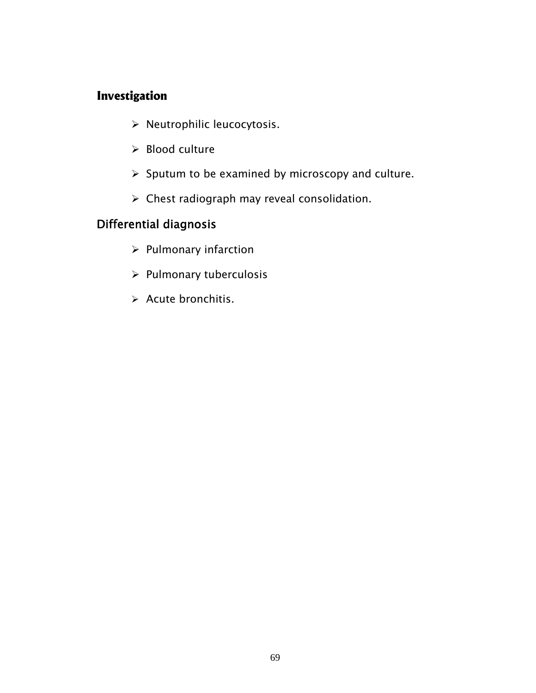### **Investigation**

- ¾ Neutrophilic leucocytosis.
- $\triangleright$  Blood culture
- $\triangleright$  Sputum to be examined by microscopy and culture.
- $\triangleright$  Chest radiograph may reveal consolidation.

## Differential diagnosis

- $\triangleright$  Pulmonary infarction
- $\triangleright$  Pulmonary tuberculosis
- $\triangleright$  Acute bronchitis.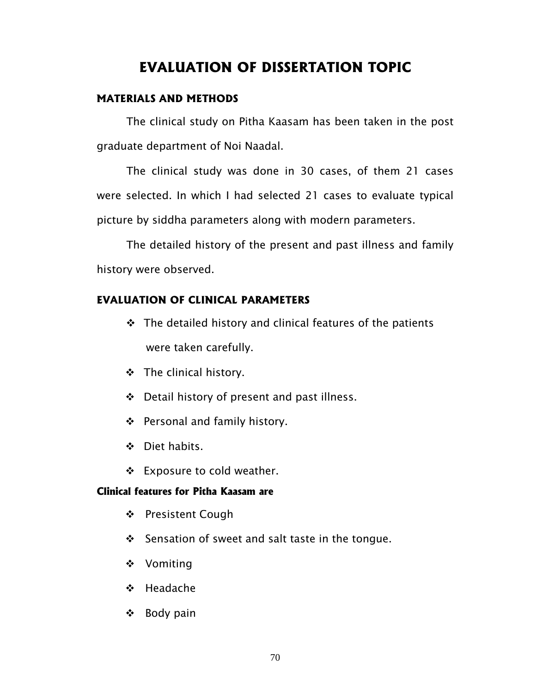# **EVALUATION OF DISSERTATION TOPIC**

#### **MATERIALS AND METHODS**

 The clinical study on Pitha Kaasam has been taken in the post graduate department of Noi Naadal.

 The clinical study was done in 30 cases, of them 21 cases were selected. In which I had selected 21 cases to evaluate typical picture by siddha parameters along with modern parameters.

 The detailed history of the present and past illness and family history were observed.

#### **EVALUATION OF CLINICAL PARAMETERS**

- $\div$  The detailed history and clinical features of the patients were taken carefully.
- ❖ The clinical history.
- Detail history of present and past illness.
- ❖ Personal and family history.
- Diet habits.
- $\div$  Exposure to cold weather.

#### **Clinical features for Pitha Kaasam are**

- ❖ Presistent Cough
- $\div$  Sensation of sweet and salt taste in the tongue.
- ❖ Vomiting
- ❖ Headache
- $\div$  Body pain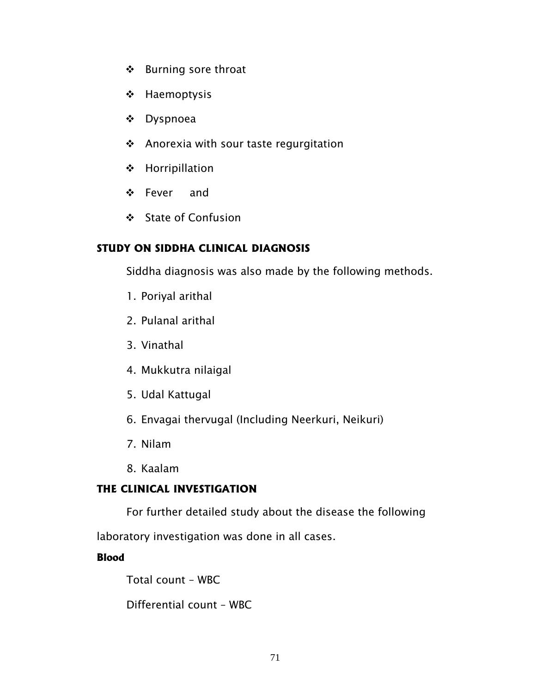- ❖ Burning sore throat
- ❖ Haemoptysis
- Dyspnoea
- Anorexia with sour taste regurgitation
- Horripillation
- Fever and
- State of Confusion

### **STUDY ON SIDDHA CLINICAL DIAGNOSIS**

Siddha diagnosis was also made by the following methods.

- 1. Poriyal arithal
- 2. Pulanal arithal
- 3. Vinathal
- 4. Mukkutra nilaigal
- 5. Udal Kattugal
- 6. Envagai thervugal (Including Neerkuri, Neikuri)
- 7. Nilam
- 8. Kaalam

#### **THE CLINICAL INVESTIGATION**

For further detailed study about the disease the following

laboratory investigation was done in all cases.

#### **Blood**

Total count – WBC

Differential count – WBC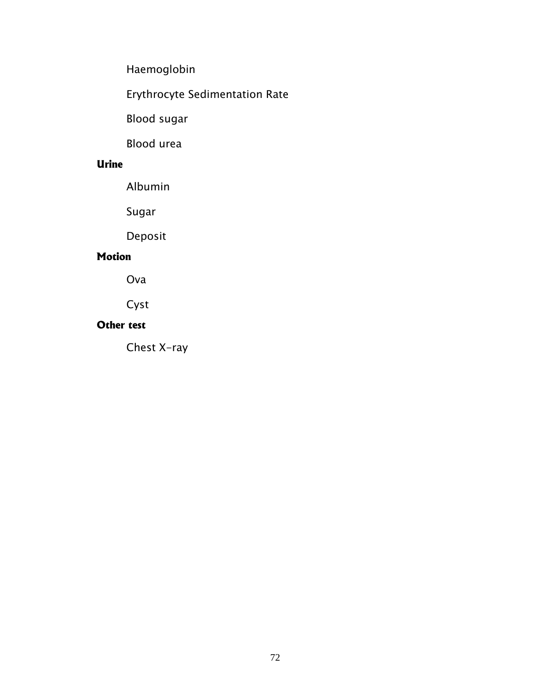Haemoglobin

Erythrocyte Sedimentation Rate

Blood sugar

Blood urea

### **Urine**

Albumin

Sugar

Deposit

### **Motion**

Ova

Cyst

## **Other test**

Chest X-ray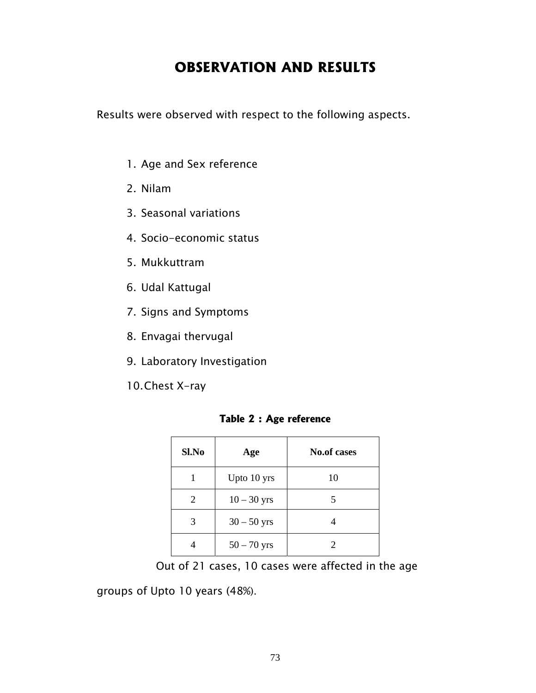# **OBSERVATION AND RESULTS**

Results were observed with respect to the following aspects.

- 1. Age and Sex reference
- 2. Nilam
- 3. Seasonal variations
- 4. Socio-economic status
- 5. Mukkuttram
- 6. Udal Kattugal
- 7. Signs and Symptoms
- 8. Envagai thervugal
- 9. Laboratory Investigation
- 10. Chest X-ray

#### **Table 2 : Age reference**

| Sl.No | Age           | <b>No.of cases</b> |
|-------|---------------|--------------------|
|       | Upto 10 yrs   | 10                 |
| 2     | $10 - 30$ yrs | 5                  |
| 3     | $30 - 50$ yrs |                    |
|       | $50 - 70$ yrs | 2                  |

Out of 21 cases, 10 cases were affected in the age

groups of Upto 10 years (48%).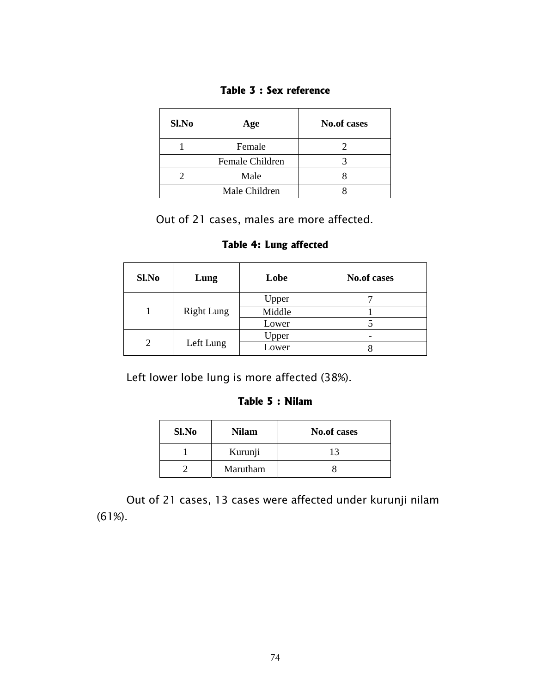| Sl.No | Age             | <b>No.of cases</b> |
|-------|-----------------|--------------------|
|       | Female          |                    |
|       | Female Children |                    |
|       | Male            |                    |
|       | Male Children   |                    |

Out of 21 cases, males are more affected.

**Table 4: Lung affected** 

| Sl.No | Lung              | Lobe   | <b>No.of cases</b> |
|-------|-------------------|--------|--------------------|
|       | <b>Right Lung</b> | Upper  |                    |
|       |                   | Middle |                    |
|       |                   | Lower  |                    |
| 2     | Left Lung         | Upper  |                    |
|       |                   | Lower  |                    |

Left lower lobe lung is more affected (38%).

#### **Table 5 : Nilam**

| Sl.No | <b>Nilam</b> | <b>No.of cases</b> |
|-------|--------------|--------------------|
|       | Kurunji      | 13                 |
|       | Marutham     |                    |

Out of 21 cases, 13 cases were affected under kurunji nilam (61%).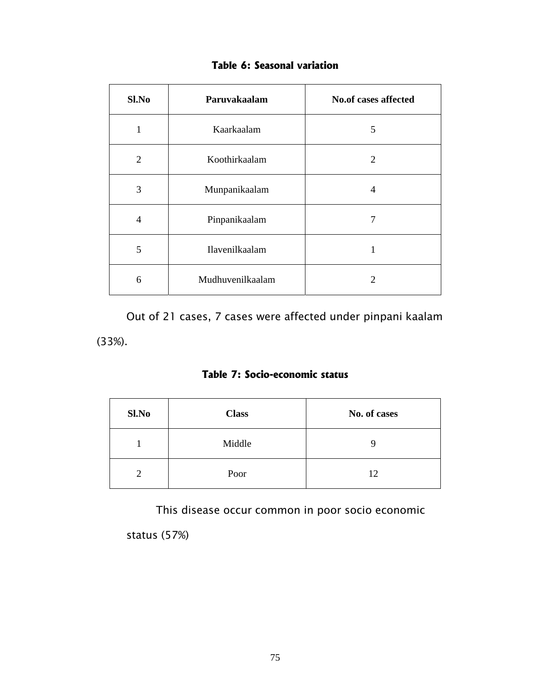| Sl.No | Paruvakaalam     | <b>No.of cases affected</b> |
|-------|------------------|-----------------------------|
| 1     | Kaarkaalam       | 5                           |
| 2     | Koothirkaalam    | $\mathcal{D}_{\mathcal{L}}$ |
| 3     | Munpanikaalam    | 4                           |
| 4     | Pinpanikaalam    | 7                           |
| 5     | Ilavenilkaalam   |                             |
| 6     | Mudhuvenilkaalam | 2                           |

### **Table 6: Seasonal variation**

 Out of 21 cases, 7 cases were affected under pinpani kaalam (33%).

### **Table 7: Socio-economic status**

| Sl.No | <b>Class</b> | No. of cases |
|-------|--------------|--------------|
|       | Middle       |              |
|       | Poor         | 12           |

This disease occur common in poor socio economic

status (57%)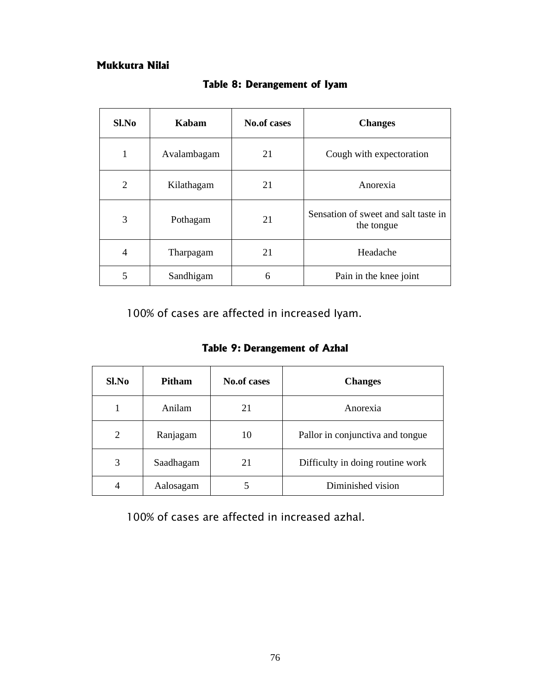#### **Mukkutra Nilai**

| Sl.No          | Kabam       | <b>No.of cases</b> | <b>Changes</b>                                     |
|----------------|-------------|--------------------|----------------------------------------------------|
|                | Avalambagam | 21                 | Cough with expectoration                           |
| $\overline{2}$ | Kilathagam  | 21                 | Anorexia                                           |
| 3              | Pothagam    | 21                 | Sensation of sweet and salt taste in<br>the tongue |
| 4              | Tharpagam   | 21                 | Headache                                           |
| 5              | Sandhigam   | 6                  | Pain in the knee joint                             |

**Table 8: Derangement of Iyam**

100% of cases are affected in increased Iyam.

| Table 9: Derangement of Azhal |  |  |
|-------------------------------|--|--|
|-------------------------------|--|--|

| Sl.No          | <b>Pitham</b> | <b>No.of cases</b> | <b>Changes</b>                   |
|----------------|---------------|--------------------|----------------------------------|
|                | Anilam        | 21                 | Anorexia                         |
| $\overline{2}$ | Ranjagam      | 10                 | Pallor in conjunctiva and tongue |
| 3              | Saadhagam     | 21                 | Difficulty in doing routine work |
|                | Aalosagam     |                    | Diminished vision                |

100% of cases are affected in increased azhal.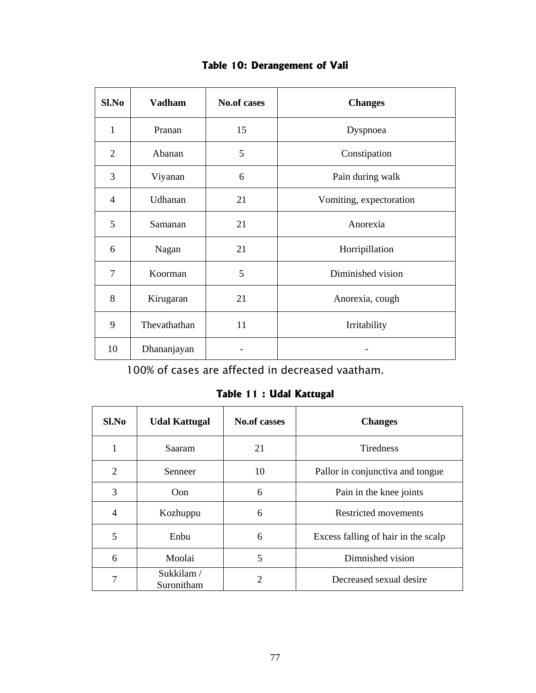| $Sl$ . No      | <b>Vadham</b> | <b>No.of cases</b> | <b>Changes</b>          |
|----------------|---------------|--------------------|-------------------------|
| 1              | Pranan        | 15                 | Dyspnoea                |
| $\overline{2}$ | Abanan        | 5                  | Constipation            |
| 3              | Viyanan       | 6                  | Pain during walk        |
| $\overline{4}$ | Udhanan       | 21                 | Vomiting, expectoration |
| 5              | Samanan       | 21                 | Anorexia                |
| 6              | Nagan         | 21                 | Horripillation          |
| 7              | Koorman       | 5                  | Diminished vision       |
| 8              | Kirugaran     | 21                 | Anorexia, cough         |
| 9              | Thevathathan  | 11                 | Irritability            |
| 10             | Dhananjayan   |                    |                         |

## **Table 10: Derangement of Vali**

100% of cases are affected in decreased vaatham.

### **Table 11 : Udal Kattugal**

| Sl.No          | <b>Udal Kattugal</b>    | <b>No.of casses</b> | <b>Changes</b>                      |
|----------------|-------------------------|---------------------|-------------------------------------|
| 1              | <b>Saaram</b>           | 21                  | <b>Tiredness</b>                    |
| $\overline{2}$ | Senneer                 | 10                  | Pallor in conjunctiva and tongue    |
| 3              | Oon                     | 6                   | Pain in the knee joints             |
| 4              | Kozhuppu                | 6                   | <b>Restricted movements</b>         |
| 5              | Enbu                    | 6                   | Excess falling of hair in the scalp |
| 6              | Moolai                  | 5                   | Dimnished vision                    |
| 7              | Sukkilam/<br>Suronitham | 2                   | Decreased sexual desire             |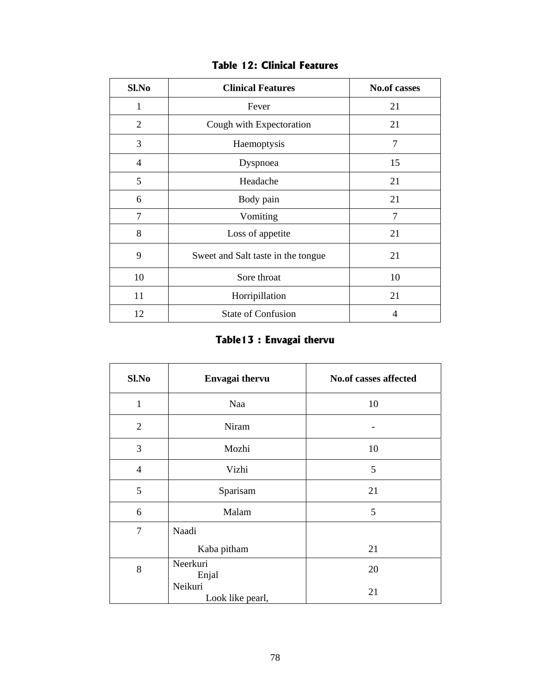| Sl.No          | <b>Clinical Features</b>           | <b>No.of casses</b> |
|----------------|------------------------------------|---------------------|
| 1              | Fever                              | 21                  |
| $\overline{2}$ | Cough with Expectoration           | 21                  |
| 3              | Haemoptysis                        | 7                   |
| 4              | Dyspnoea                           | 15                  |
| 5              | Headache                           | 21                  |
| 6              | Body pain                          | 21                  |
| 7              | Vomiting                           | 7                   |
| 8              | Loss of appetite                   | 21                  |
| 9              | Sweet and Salt taste in the tongue | 21                  |
| 10             | Sore throat                        | 10                  |
| 11             | Horripillation                     | 21                  |
| 12             | <b>State of Confusion</b>          | 4                   |

## **Table 12: Clinical Features**

# **Table13 : Envagai thervu**

| Sl.No          | Envagai thervu              | <b>No.of casses affected</b> |
|----------------|-----------------------------|------------------------------|
| $\mathbf{1}$   | Naa                         | 10                           |
| $\overline{2}$ | Niram                       |                              |
| 3              | Mozhi                       | 10                           |
| $\overline{4}$ | Vizhi                       | 5                            |
| 5              | Sparisam                    | 21                           |
| 6              | Malam                       | 5                            |
| $\overline{7}$ | Naadi                       |                              |
|                | Kaba pitham                 | 21                           |
| 8              | Neerkuri<br>Enjal           | 20                           |
|                | Neikuri<br>Look like pearl, | 21                           |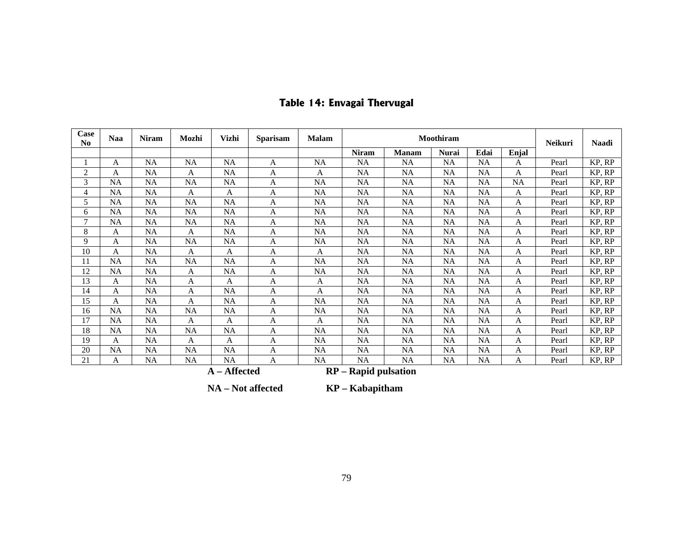| Case<br>N <sub>0</sub>                 | <b>Naa</b> | <b>Niram</b> | Mozhi     | <b>Vizhi</b> | <b>Sparisam</b> | <b>Malam</b> | Moothiram    |              |              |           |           | Neikuri | <b>Naadi</b> |
|----------------------------------------|------------|--------------|-----------|--------------|-----------------|--------------|--------------|--------------|--------------|-----------|-----------|---------|--------------|
|                                        |            |              |           |              |                 |              | <b>Niram</b> | <b>Manam</b> | <b>Nurai</b> | Edai      | Enjal     |         |              |
|                                        | A          | <b>NA</b>    | <b>NA</b> | <b>NA</b>    | A               | <b>NA</b>    | NA           | NA           | <b>NA</b>    | <b>NA</b> | A         | Pearl   | KP, RP       |
| $\overline{c}$                         | A          | <b>NA</b>    | A         | NA           | A               | A            | <b>NA</b>    | <b>NA</b>    | <b>NA</b>    | <b>NA</b> | A         | Pearl   | KP, RP       |
| 3                                      | <b>NA</b>  | <b>NA</b>    | <b>NA</b> | <b>NA</b>    | A               | <b>NA</b>    | <b>NA</b>    | <b>NA</b>    | <b>NA</b>    | <b>NA</b> | <b>NA</b> | Pearl   | KP, RP       |
| $\overline{4}$                         | NA         | <b>NA</b>    | A         | A            | A               | NA           | <b>NA</b>    | <b>NA</b>    | <b>NA</b>    | <b>NA</b> | A         | Pearl   | KP, RP       |
| 5                                      | NA         | <b>NA</b>    | <b>NA</b> | NA           | A               | <b>NA</b>    | <b>NA</b>    | <b>NA</b>    | NA           | <b>NA</b> | A         | Pearl   | KP, RP       |
| 6                                      | NA         | NA           | NA        | NA           | A               | NA           | NA           | NA           | NA           | <b>NA</b> | A         | Pearl   | KP, RP       |
| $\overline{7}$                         | <b>NA</b>  | NA           | NA        | NA           | A               | <b>NA</b>    | NA           | <b>NA</b>    | NA           | <b>NA</b> | A         | Pearl   | KP, RP       |
| 8                                      | A          | <b>NA</b>    | A         | NA           | A               | NA           | NA           | NA           | <b>NA</b>    | NA        | Α         | Pearl   | KP, RP       |
| 9                                      | A          | <b>NA</b>    | NA        | <b>NA</b>    | A               | <b>NA</b>    | NA           | NA           | <b>NA</b>    | <b>NA</b> | A         | Pearl   | KP, RP       |
| 10                                     | A          | <b>NA</b>    | A         | A            | A               | A            | <b>NA</b>    | <b>NA</b>    | NA           | <b>NA</b> | A         | Pearl   | KP, RP       |
| 11                                     | <b>NA</b>  | <b>NA</b>    | NA        | NA           | A               | <b>NA</b>    | NA           | NA           | NA           | NA        | A         | Pearl   | KP, RP       |
| 12                                     | <b>NA</b>  | <b>NA</b>    | A         | NA           | A               | <b>NA</b>    | NA           | NA           | NA           | <b>NA</b> | A         | Pearl   | KP, RP       |
| 13                                     | A          | <b>NA</b>    | A         | A            | A               | A            | NA           | <b>NA</b>    | NA           | <b>NA</b> | A         | Pearl   | KP, RP       |
| 14                                     | A          | <b>NA</b>    | A         | NA           | A               | A            | <b>NA</b>    | <b>NA</b>    | NA           | <b>NA</b> | A         | Pearl   | KP, RP       |
| 15                                     | A          | <b>NA</b>    | A         | NA           | A               | <b>NA</b>    | <b>NA</b>    | NA           | NA           | NA        | A         | Pearl   | KP, RP       |
| 16                                     | <b>NA</b>  | <b>NA</b>    | NA        | NA           | A               | NA           | NA           | NA           | <b>NA</b>    | NA        | A         | Pearl   | KP, RP       |
| 17                                     | <b>NA</b>  | <b>NA</b>    | A         | A            | A               | A            | <b>NA</b>    | NA           | NA           | <b>NA</b> | A         | Pearl   | KP, RP       |
| 18                                     | <b>NA</b>  | <b>NA</b>    | <b>NA</b> | NA           | A               | <b>NA</b>    | <b>NA</b>    | <b>NA</b>    | NA           | <b>NA</b> | A         | Pearl   | KP, RP       |
| 19                                     | A          | NA           | A         | A            | A               | <b>NA</b>    | NA           | <b>NA</b>    | <b>NA</b>    | NA        | A         | Pearl   | KP, RP       |
| 20                                     | <b>NA</b>  | <b>NA</b>    | NA        | NA           | A               | <b>NA</b>    | <b>NA</b>    | <b>NA</b>    | NA           | NA        | A         | Pearl   | KP, RP       |
| 21                                     | A          | NA           | NA        | NA           | A               | <b>NA</b>    | <b>NA</b>    | <b>NA</b>    | <b>NA</b>    | NA        | A         | Pearl   | KP, RP       |
| A - Affected<br>$RP - Rapid pulsation$ |            |              |           |              |                 |              |              |              |              |           |           |         |              |

# **Table 14: Envagai Thervugal**

 **NA – Not affected KP – Kabapitham**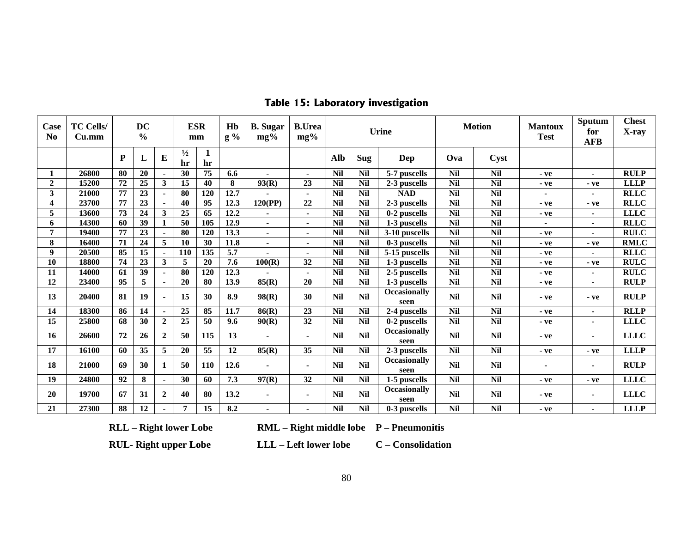| Case<br>N <sub>0</sub> | <b>TC Cells/</b><br>Cu.mm |           | <b>DC</b><br>$\frac{6}{9}$ |                          |                     | <b>ESR</b><br>mm   | H <sub>b</sub><br>$g\%$ | <b>B.</b> Sugar<br>$mg\%$ | <b>B.Urea</b><br>$mg\%$  | <b>Urine</b> |            | <b>Motion</b>               |            | <b>Mantoux</b><br><b>Test</b> |                | Sputum<br>for<br><b>AFB</b> | <b>Chest</b><br>X-ray |
|------------------------|---------------------------|-----------|----------------------------|--------------------------|---------------------|--------------------|-------------------------|---------------------------|--------------------------|--------------|------------|-----------------------------|------------|-------------------------------|----------------|-----------------------------|-----------------------|
|                        |                           | ${\bf P}$ | L                          | E                        | $\frac{1}{2}$<br>hr | $\mathbf{1}$<br>hr |                         |                           |                          | Alb          | Sug        | Dep                         | Ova        | Cyst                          |                |                             |                       |
|                        | 26800                     | 80        | 20                         |                          | 30                  | 75                 | 6.6                     | $\blacksquare$            | $\blacksquare$           | <b>Nil</b>   | <b>Nil</b> | 5-7 puscells                | <b>Nil</b> | <b>Nil</b>                    | $-ve$          | $\blacksquare$              | <b>RULP</b>           |
| $\overline{2}$         | 15200                     | 72        | 25                         | $\mathbf{3}$             | 15                  | 40                 | 8                       | 93(R)                     | 23                       | <b>Nil</b>   | <b>Nil</b> | 2-3 puscells                | <b>Nil</b> | <b>Nil</b>                    | - ve           | - ve                        | <b>LLLP</b>           |
| 3                      | 21000                     | 77        | 23                         | $\blacksquare$           | 80                  | 120                | 12.7                    |                           |                          | <b>Nil</b>   | <b>Nil</b> | <b>NAD</b>                  | <b>Nil</b> | <b>Nil</b>                    | $\blacksquare$ | $\blacksquare$              | <b>RLLC</b>           |
| 4                      | 23700                     | 77        | 23                         |                          | 40                  | 95                 | 12.3                    | 120(PP)                   | 22                       | <b>Nil</b>   | <b>Nil</b> | 2-3 puscells                | <b>Nil</b> | <b>Nil</b>                    | - ve           | - ve                        | <b>RLLC</b>           |
| 5                      | 13600                     | 73        | 24                         | 3                        | 25                  | 65                 | 12.2                    | $\blacksquare$            | $\blacksquare$           | <b>Nil</b>   | <b>Nil</b> | 0-2 puscells                | <b>Nil</b> | <b>Nil</b>                    | $-ve$          | $\blacksquare$              | <b>LLLC</b>           |
| 6                      | 14300                     | 60        | 39                         | $\mathbf{1}$             | 50                  | 105                | 12.9                    | $\blacksquare$            | $\blacksquare$           | <b>Nil</b>   | <b>Nil</b> | 1-3 puscells                | <b>Nil</b> | $\overline{Nil}$              |                | $\blacksquare$              | <b>RLLC</b>           |
| 7                      | 19400                     | 77        | 23                         |                          | 80                  | 120                | 13.3                    | $\sim$                    | $\blacksquare$           | <b>Nil</b>   | <b>Nil</b> | 3-10 puscells               | <b>Nil</b> | <b>Nil</b>                    | - ve           | $\blacksquare$              | <b>RULC</b>           |
| 8                      | 16400                     | 71        | 24                         | 5                        | 10                  | 30                 | 11.8                    | $\blacksquare$            | $\overline{\phantom{0}}$ | <b>Nil</b>   | <b>Nil</b> | 0-3 puscells                | <b>Nil</b> | <b>Nil</b>                    | $-ve$          | $-ve$                       | <b>RMLC</b>           |
| 9                      | 20500                     | 85        | 15                         | $\overline{\phantom{a}}$ | 110                 | 135                | 5.7                     | $\blacksquare$            | $\blacksquare$           | <b>Nil</b>   | <b>Nil</b> | 5-15 puscells               | <b>Nil</b> | <b>Nil</b>                    | - ve           | $\blacksquare$              | <b>RLLC</b>           |
| 10                     | 18800                     | 74        | 23                         | $\mathbf{3}$             | 5                   | 20                 | 7.6                     | 100(R)                    | 32                       | <b>Nil</b>   | <b>Nil</b> | 1-3 puscells                | <b>Nil</b> | <b>Nil</b>                    | $-ve$          | - ve                        | <b>RULC</b>           |
| 11                     | 14000                     | 61        | 39                         |                          | 80                  | 120                | 12.3                    |                           |                          | <b>Nil</b>   | <b>Nil</b> | 2-5 puscells                | <b>Nil</b> | <b>Nil</b>                    | - ve           | $\blacksquare$              | <b>RULC</b>           |
| 12                     | 23400                     | 95        | 5                          |                          | 20                  | 80                 | 13.9                    | 85(R)                     | 20                       | <b>Nil</b>   | <b>Nil</b> | 1-3 puscells                | <b>Nil</b> | <b>Nil</b>                    | $-ve$          |                             | <b>RULP</b>           |
| 13                     | 20400                     | 81        | 19                         |                          | 15                  | 30                 | 8.9                     | 98(R)                     | 30                       | <b>Nil</b>   | <b>Nil</b> | <b>Occasionally</b><br>seen | <b>Nil</b> | <b>Nil</b>                    | $-ve$          | $-ve$                       | <b>RULP</b>           |
| 14                     | 18300                     | 86        | 14                         |                          | 25                  | 85                 | 11.7                    | 86(R)                     | 23                       | <b>Nil</b>   | <b>Nil</b> | 2-4 puscells                | <b>Nil</b> | <b>Nil</b>                    | $-ve$          | $\blacksquare$              | <b>RLLP</b>           |
| 15                     | 25800                     | 68        | 30                         | $\overline{2}$           | 25                  | 50                 | 9.6                     | 90(R)                     | 32                       | <b>Nil</b>   | <b>Nil</b> | 0-2 puscells                | <b>Nil</b> | <b>Nil</b>                    | $-ve$          | $\blacksquare$              | <b>LLLC</b>           |
| 16                     | 26600                     | 72        | 26                         | $\overline{2}$           | 50                  | 115                | 13                      | $\blacksquare$            |                          | <b>Nil</b>   | <b>Nil</b> | <b>Occasionally</b><br>seen | <b>Nil</b> | <b>Nil</b>                    | $-ve$          | $\blacksquare$              | <b>LLLC</b>           |
| 17                     | 16100                     | 60        | 35                         | 5                        | 20                  | $\overline{55}$    | 12                      | 85(R)                     | 35                       | <b>Nil</b>   | <b>Nil</b> | 2-3 puscells                | <b>Nil</b> | <b>Nil</b>                    | - ve           | - ve                        | <b>LLLP</b>           |
| 18                     | 21000                     | 69        | 30                         | -1                       | 50                  | <b>110</b>         | 12.6                    |                           |                          | <b>Nil</b>   | <b>Nil</b> | <b>Occasionally</b><br>seen | <b>Nil</b> | <b>Nil</b>                    | $\blacksquare$ |                             | <b>RULP</b>           |
| 19                     | 24800                     | 92        | 8                          |                          | 30                  | 60                 | 7.3                     | 97(R)                     | 32                       | <b>Nil</b>   | <b>Nil</b> | 1-5 puscells                | <b>Nil</b> | <b>Nil</b>                    | - ve           | - ve                        | <b>LLLC</b>           |
| 20                     | 19700                     | 67        | 31                         | $\overline{2}$           | 40                  | 80                 | 13.2                    | $\blacksquare$            | $\blacksquare$           | <b>Nil</b>   | <b>Nil</b> | <b>Occasionally</b><br>seen | <b>Nil</b> | <b>Nil</b>                    | $-ve$          |                             | <b>LLLC</b>           |
| 21                     | 27300                     | 88        | 12                         |                          | 7                   | 15                 | 8.2                     | $\blacksquare$            |                          | <b>Nil</b>   | <b>Nil</b> | 0-3 puscells                | <b>Nil</b> | <b>Nil</b>                    | $-ve$          |                             | <b>LLLP</b>           |

## **Table 15: Laboratory investigation**

**RLL – Right lower Lobe RML – Right middle lobe P – Pneumonitis** 

**RUL- Right upper Lobe LLL – Left lower lobe C – Consolidation**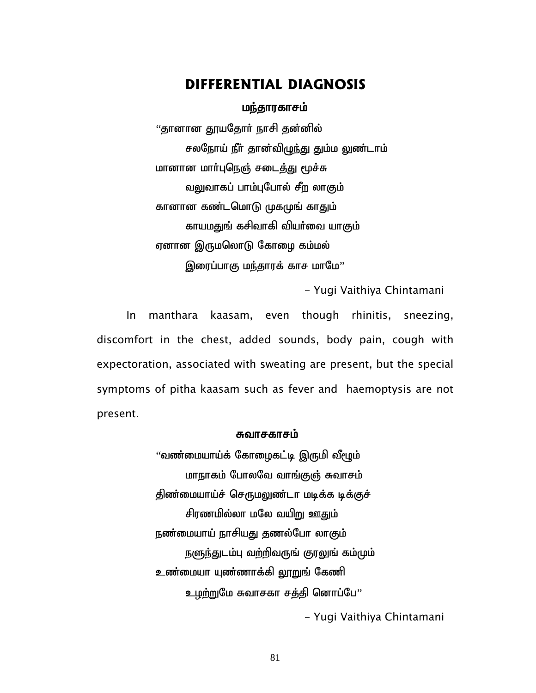### **DIFFERENTIAL DIAGNOSIS**

#### மந்தாரகாசம்

"தானான தூயதோா் நாசி தன்னில் சலநோய் நீா் தான்விழுந்து தும்ம லுண்டாம் மானான மார்புநெஞ் சடைத்து மூச்சு வலுவாகப் பாம்புபோல் சீற லாகும் கானான கண்டமொடு முகமுங் காதும் காயமதுங் கசிவாகி வியர்வை யாகும் ஏனான இருமலொடு கோழை கம்மல் இரைப்பாகு மந்தாரக் காச மாமே''

- Yugi Vaithiya Chintamani

In manthara kaasam, even though rhinitis, sneezing, discomfort in the chest, added sounds, body pain, cough with expectoration, associated with sweating are present, but the special symptoms of pitha kaasam such as fever and haemoptysis are not present.

#### சுவாசகாசம்

 $\cdot$ வண்மையாய்க் கோழைகட்டி இருமி வீழூம் மாநாகம் போலவே வாங்குஞ் சுவாசம் திண்மையாய்ச் செருமலுண்டா மடிக்க டிக்குச் சிரணமில்லா மலே வயி<u>று</u> ஊதும் நண்மையாய் நாசியது தணல்போ லாகும் நளுந்துடம்பு வற்றிவருங் குரலுங் கம்மும் உண்மையா யுண்ணாக்கி லூறுங் கேணி உழற்றுமே சுவாசகா சத்தி னொப்பே"

- Yugi Vaithiya Chintamani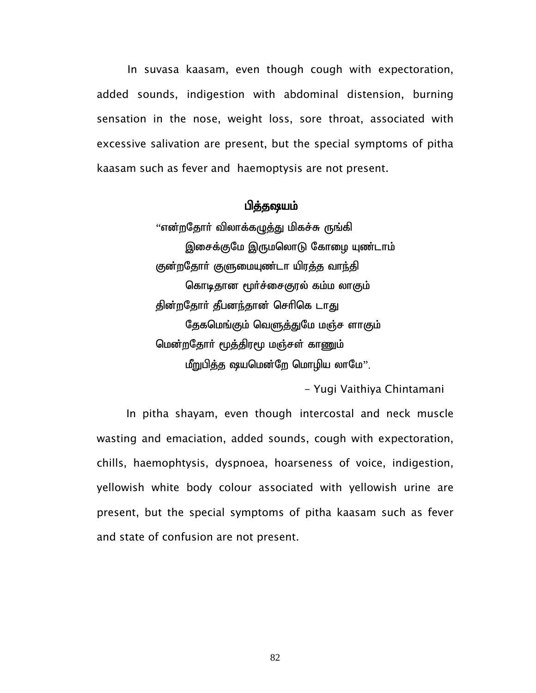In suvasa kaasam, even though cough with expectoration, added sounds, indigestion with abdominal distension, burning sensation in the nose, weight loss, sore throat, associated with excessive salivation are present, but the special symptoms of pitha kaasam such as fever and haemoptysis are not present.

#### பித்தஷயம்

 $\lq\lq$ என்றதோர் விலாக்கமுத்து மிகச்சு ருங்கி இசைக்குமே இருமலொடு கோழை யுண்டாம் குன்றதோர் குளுமையுண்டா யிரத்த வாந்தி கொடிதான மூர்ச்சைகுரல் கம்ம லாகும் தின்றதோர் தீபனந்தான் செரிகெ டாது தேகமெங்கும் வெளுத்துமே மஞ்ச ளாகும் மென்றதோர் மூத்திரமூ மஞ்சள் காணும்  $\mu$ ற்றுபித்த ஷயமென்றே மொழிய லாமே $^{\prime\prime}$ .

- Yugi Vaithiya Chintamani

In pitha shayam, even though intercostal and neck muscle wasting and emaciation, added sounds, cough with expectoration, chills, haemophtysis, dyspnoea, hoarseness of voice, indigestion, yellowish white body colour associated with yellowish urine are present, but the special symptoms of pitha kaasam such as fever and state of confusion are not present.

82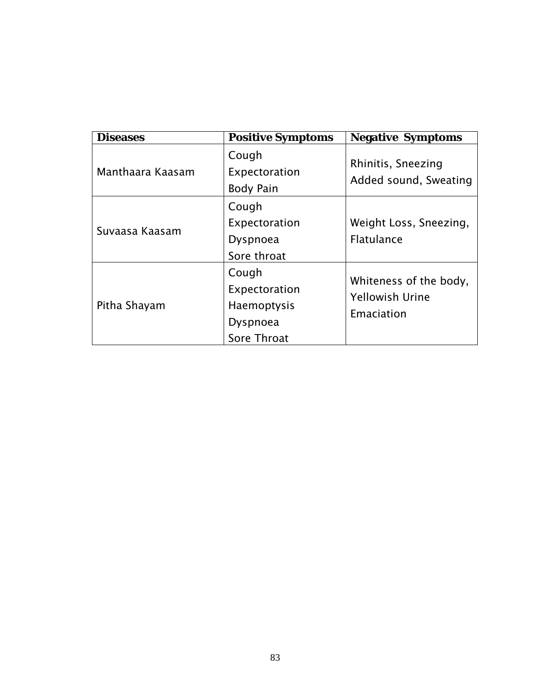| Diseases         | <b>Positive Symptoms</b>                                                | <b>Negative Symptoms</b>                                       |
|------------------|-------------------------------------------------------------------------|----------------------------------------------------------------|
| Manthaara Kaasam | Cough<br>Expectoration<br><b>Body Pain</b>                              | Rhinitis, Sneezing<br>Added sound, Sweating                    |
| Suvaasa Kaasam   | Cough<br>Expectoration<br>Dyspnoea<br>Sore throat                       | Weight Loss, Sneezing,<br><b>Flatulance</b>                    |
| Pitha Shayam     | Cough<br>Expectoration<br><b>Haemoptysis</b><br>Dyspnoea<br>Sore Throat | Whiteness of the body,<br><b>Yellowish Urine</b><br>Emaciation |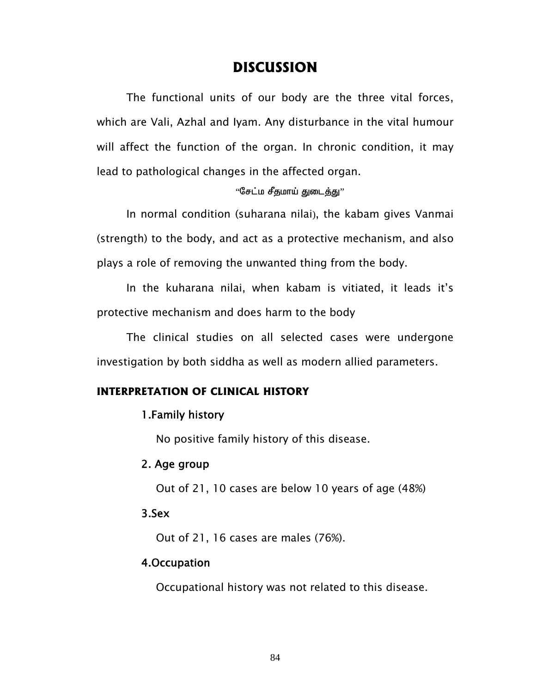## **DISCUSSION**

The functional units of our body are the three vital forces, which are Vali, Azhal and Iyam. Any disturbance in the vital humour will affect the function of the organ. In chronic condition, it may lead to pathological changes in the affected organ.

#### $"$ சேட்ம சீதமாய் துடைத்து $"$

In normal condition (suharana nilai), the kabam gives Vanmai (strength) to the body, and act as a protective mechanism, and also plays a role of removing the unwanted thing from the body.

In the kuharana nilai, when kabam is vitiated, it leads it's protective mechanism and does harm to the body

The clinical studies on all selected cases were undergone investigation by both siddha as well as modern allied parameters.

#### **INTERPRETATION OF CLINICAL HISTORY**

#### 1.Family history

No positive family history of this disease.

#### 2. Age group

Out of 21, 10 cases are below 10 years of age (48%)

#### 3.Sex

Out of 21, 16 cases are males (76%).

#### 4.Occupation

Occupational history was not related to this disease.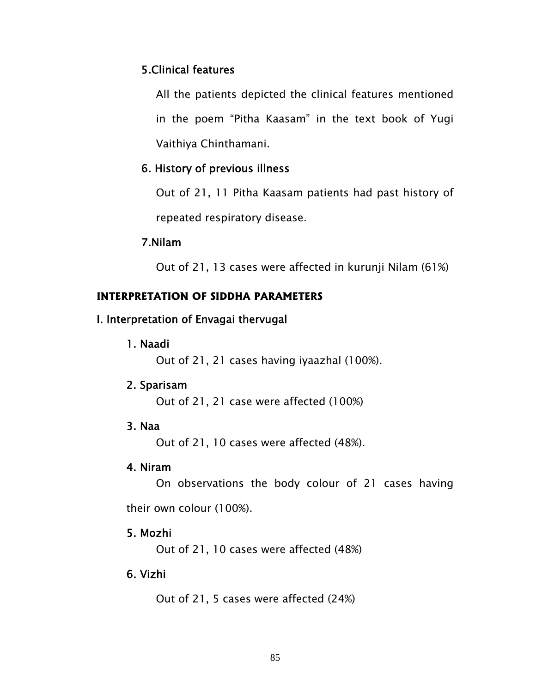### 5.Clinical features

All the patients depicted the clinical features mentioned in the poem "Pitha Kaasam" in the text book of Yugi Vaithiya Chinthamani.

### 6. History of previous illness

Out of 21, 11 Pitha Kaasam patients had past history of repeated respiratory disease.

#### 7.Nilam

Out of 21, 13 cases were affected in kurunji Nilam (61%)

### **INTERPRETATION OF SIDDHA PARAMETERS**

### I. Interpretation of Envagai thervugal

1. Naadi

Out of 21, 21 cases having iyaazhal (100%).

### 2. Sparisam

Out of 21, 21 case were affected (100%)

### 3. Naa

Out of 21, 10 cases were affected (48%).

#### 4. Niram

On observations the body colour of 21 cases having

their own colour (100%).

### 5. Mozhi

Out of 21, 10 cases were affected (48%)

### 6. Vizhi

Out of 21, 5 cases were affected (24%)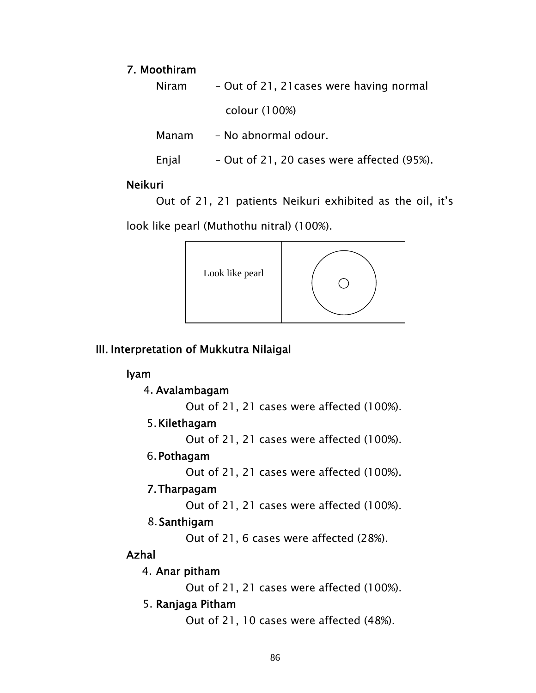#### 7. Moothiram

Niram – Out of 21, 21cases were having normal colour (100%)

Manam – No abnormal odour.

Enjal – Out of 21, 20 cases were affected (95%).

#### Neikuri

Out of 21, 21 patients Neikuri exhibited as the oil, it's

look like pearl (Muthothu nitral) (100%).



## III. Interpretation of Mukkutra Nilaigal

### Iyam

4. Avalambagam

Out of 21, 21 cases were affected (100%).

## 5.Kilethagam

Out of 21, 21 cases were affected (100%).

## 6.Pothagam

Out of 21, 21 cases were affected (100%).

## 7.Tharpagam

Out of 21, 21 cases were affected (100%).

## 8.Santhigam

Out of 21, 6 cases were affected (28%).

## Azhal

### 4. Anar pitham

Out of 21, 21 cases were affected (100%).

### 5. Ranjaga Pitham

Out of 21, 10 cases were affected (48%).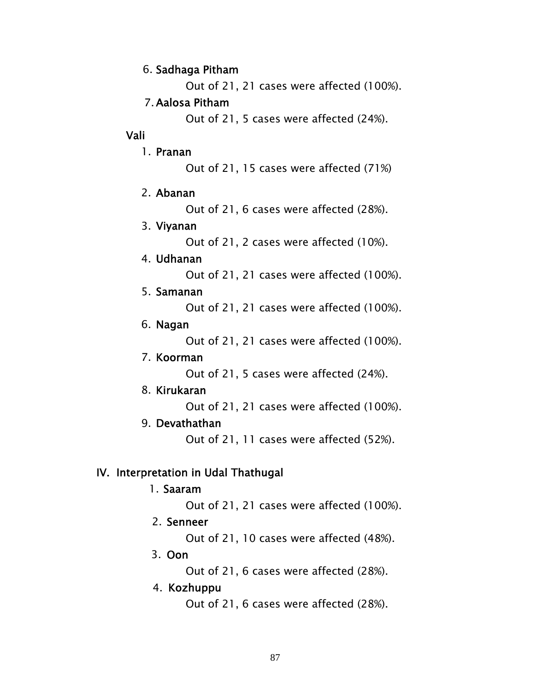#### 6. Sadhaga Pitham

Out of 21, 21 cases were affected (100%).

### 7.Aalosa Pitham

Out of 21, 5 cases were affected (24%).

### Vali

1. Pranan

Out of 21, 15 cases were affected (71%)

### 2. Abanan

Out of 21, 6 cases were affected (28%).

### 3. Viyanan

Out of 21, 2 cases were affected (10%).

### 4. Udhanan

Out of 21, 21 cases were affected (100%).

### 5. Samanan

Out of 21, 21 cases were affected (100%).

## 6. Nagan

Out of 21, 21 cases were affected (100%).

## 7. Koorman

Out of 21, 5 cases were affected (24%).

## 8. Kirukaran

Out of 21, 21 cases were affected (100%).

## 9. Devathathan

Out of 21, 11 cases were affected (52%).

## IV. Interpretation in Udal Thathugal

### 1. Saaram

Out of 21, 21 cases were affected (100%).

## 2. Senneer

Out of 21, 10 cases were affected (48%).

## 3. Oon

Out of 21, 6 cases were affected (28%).

### 4. Kozhuppu

Out of 21, 6 cases were affected (28%).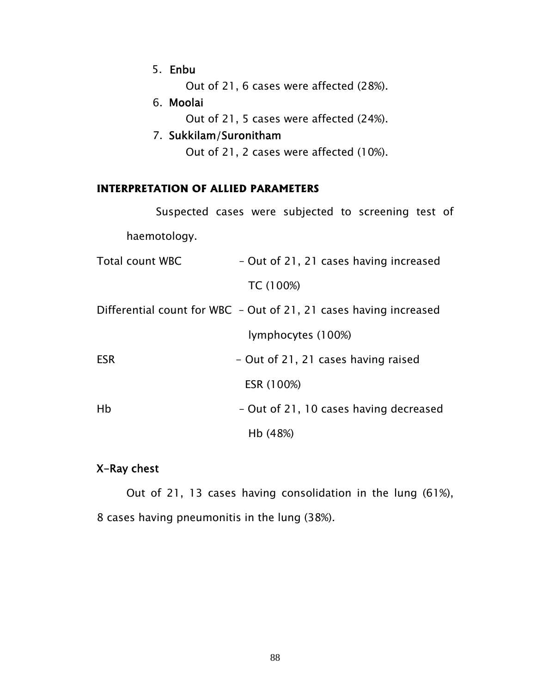5. Enbu

Out of 21, 6 cases were affected (28%).

6. Moolai

Out of 21, 5 cases were affected (24%).

## 7. Sukkilam/Suronitham Out of 21, 2 cases were affected (10%).

#### **INTERPRETATION OF ALLIED PARAMETERS**

|                                                                   | Suspected cases were subjected to screening test of |  |            |                                        |  |  |  |  |
|-------------------------------------------------------------------|-----------------------------------------------------|--|------------|----------------------------------------|--|--|--|--|
|                                                                   | haemotology.                                        |  |            |                                        |  |  |  |  |
| <b>Total count WBC</b>                                            |                                                     |  |            | - Out of 21, 21 cases having increased |  |  |  |  |
|                                                                   |                                                     |  | TC (100%)  |                                        |  |  |  |  |
| Differential count for WBC - Out of 21, 21 cases having increased |                                                     |  |            |                                        |  |  |  |  |
|                                                                   |                                                     |  |            | lymphocytes (100%)                     |  |  |  |  |
| <b>ESR</b>                                                        |                                                     |  |            | - Out of 21, 21 cases having raised    |  |  |  |  |
|                                                                   |                                                     |  | ESR (100%) |                                        |  |  |  |  |
| Hb                                                                |                                                     |  |            | - Out of 21, 10 cases having decreased |  |  |  |  |
|                                                                   |                                                     |  | Hb (48%)   |                                        |  |  |  |  |

## X-Ray chest

 Out of 21, 13 cases having consolidation in the lung (61%), 8 cases having pneumonitis in the lung (38%).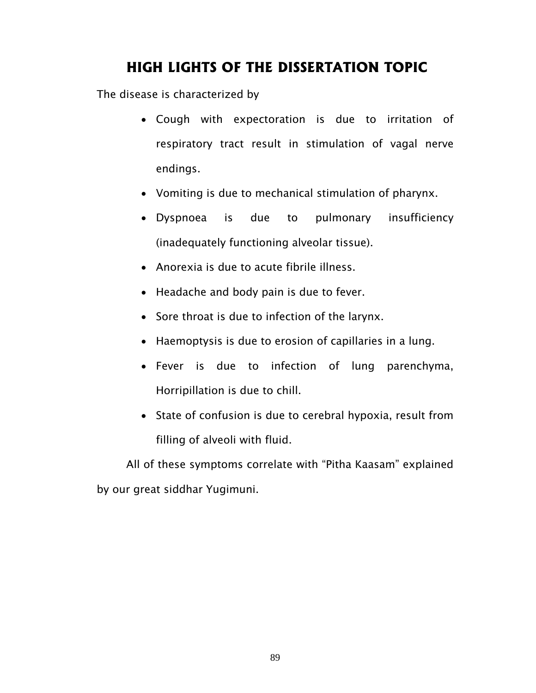# **HIGH LIGHTS OF THE DISSERTATION TOPIC**

The disease is characterized by

- Cough with expectoration is due to irritation of respiratory tract result in stimulation of vagal nerve endings.
- Vomiting is due to mechanical stimulation of pharynx.
- Dyspnoea is due to pulmonary insufficiency (inadequately functioning alveolar tissue).
- Anorexia is due to acute fibrile illness.
- Headache and body pain is due to fever.
- Sore throat is due to infection of the larynx.
- Haemoptysis is due to erosion of capillaries in a lung.
- Fever is due to infection of lung parenchyma, Horripillation is due to chill.
- State of confusion is due to cerebral hypoxia, result from filling of alveoli with fluid.

 All of these symptoms correlate with "Pitha Kaasam" explained by our great siddhar Yugimuni.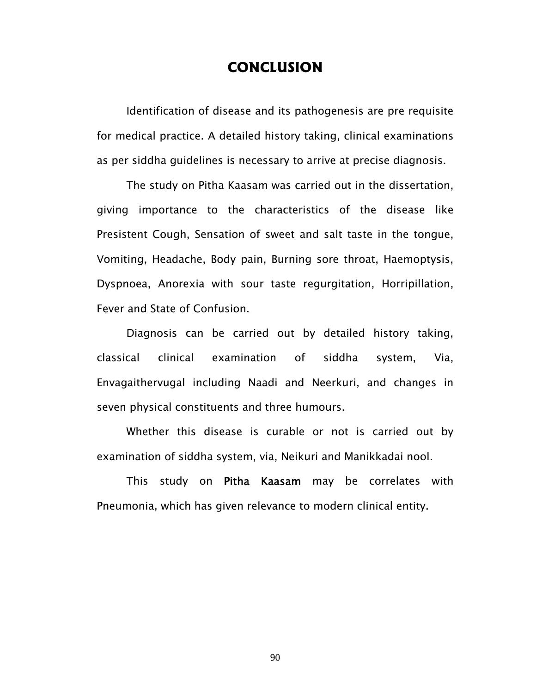## **CONCLUSION**

 Identification of disease and its pathogenesis are pre requisite for medical practice. A detailed history taking, clinical examinations as per siddha guidelines is necessary to arrive at precise diagnosis.

The study on Pitha Kaasam was carried out in the dissertation, giving importance to the characteristics of the disease like Presistent Cough, Sensation of sweet and salt taste in the tongue, Vomiting, Headache, Body pain, Burning sore throat, Haemoptysis, Dyspnoea, Anorexia with sour taste regurgitation, Horripillation, Fever and State of Confusion.

Diagnosis can be carried out by detailed history taking, classical clinical examination of siddha system, Via, Envagaithervugal including Naadi and Neerkuri, and changes in seven physical constituents and three humours.

Whether this disease is curable or not is carried out by examination of siddha system, via, Neikuri and Manikkadai nool.

This study on Pitha Kaasam may be correlates with Pneumonia, which has given relevance to modern clinical entity.

90